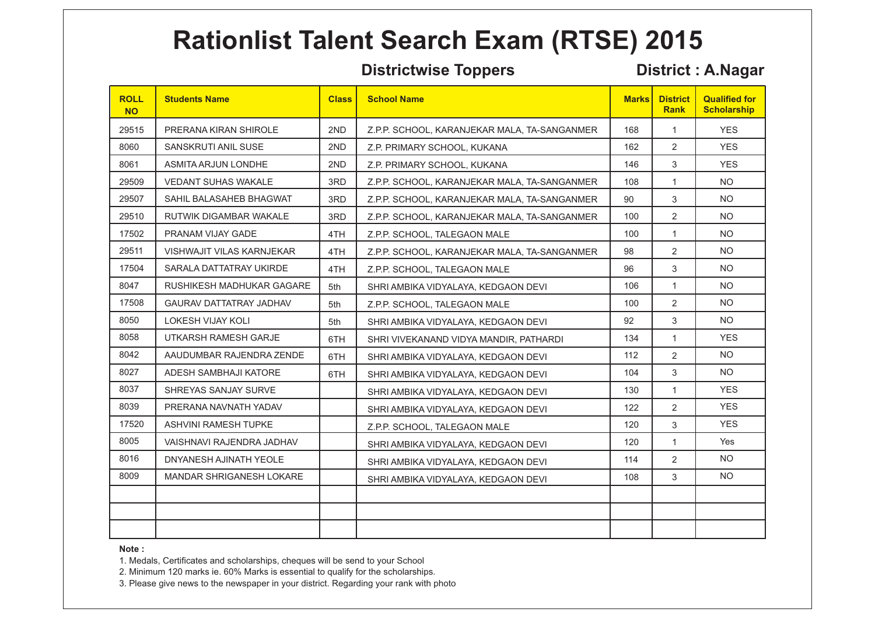### **Districtwise Toppers District : A.Nagar**

| <b>ROLL</b><br><b>NO</b> | <b>Students Name</b>             | <b>Class</b> | <b>School Name</b>                           | <b>Marks</b> | <b>District</b><br><b>Rank</b> | <b>Qualified for</b><br><b>Scholarship</b> |
|--------------------------|----------------------------------|--------------|----------------------------------------------|--------------|--------------------------------|--------------------------------------------|
| 29515                    | PRERANA KIRAN SHIROLE            | 2ND          | Z.P.P. SCHOOL, KARANJEKAR MALA, TA-SANGANMER | 168          | $\mathbf{1}$                   | <b>YES</b>                                 |
| 8060                     | SANSKRUTI ANIL SUSE              | 2ND          | Z.P. PRIMARY SCHOOL, KUKANA                  | 162          | 2                              | <b>YES</b>                                 |
| 8061                     | ASMITA ARJUN LONDHE              | 2ND          | Z.P. PRIMARY SCHOOL, KUKANA                  | 146          | 3                              | <b>YES</b>                                 |
| 29509                    | VEDANT SUHAS WAKALE              | 3RD          | Z.P.P. SCHOOL, KARANJEKAR MALA, TA-SANGANMER | 108          | $\mathbf{1}$                   | <b>NO</b>                                  |
| 29507                    | SAHIL BALASAHEB BHAGWAT          | 3RD          | Z.P.P. SCHOOL, KARANJEKAR MALA, TA-SANGANMER | 90           | 3                              | NO.                                        |
| 29510                    | RUTWIK DIGAMBAR WAKALE           | 3RD          | Z.P.P. SCHOOL, KARANJEKAR MALA, TA-SANGANMER | 100          | 2                              | NO.                                        |
| 17502                    | PRANAM VIJAY GADE                | 4TH          | Z.P.P. SCHOOL, TALEGAON MALE                 | 100          | $\mathbf{1}$                   | <b>NO</b>                                  |
| 29511                    | <b>VISHWAJIT VILAS KARNJEKAR</b> | 4TH          | Z.P.P. SCHOOL, KARANJEKAR MALA, TA-SANGANMER | 98           | 2                              | NO.                                        |
| 17504                    | SARALA DATTATRAY UKIRDE          | 4TH          | Z.P.P. SCHOOL, TALEGAON MALE                 | 96           | 3                              | NO.                                        |
| 8047                     | RUSHIKESH MADHUKAR GAGARE        | 5th          | SHRI AMBIKA VIDYALAYA, KEDGAON DEVI          | 106          | $\mathbf{1}$                   | <b>NO</b>                                  |
| 17508                    | <b>GAURAV DATTATRAY JADHAV</b>   | 5th          | Z.P.P. SCHOOL, TALEGAON MALE                 | 100          | $\overline{2}$                 | <b>NO</b>                                  |
| 8050                     | <b>LOKESH VIJAY KOLI</b>         | 5th          | SHRI AMBIKA VIDYALAYA, KEDGAON DEVI          | 92           | 3                              | <b>NO</b>                                  |
| 8058                     | UTKARSH RAMESH GARJE             | 6TH          | SHRI VIVEKANAND VIDYA MANDIR, PATHARDI       | 134          | $\mathbf{1}$                   | <b>YES</b>                                 |
| 8042                     | AAUDUMBAR RAJENDRA ZENDE         | 6TH          | SHRI AMBIKA VIDYALAYA, KEDGAON DEVI          | 112          | 2                              | <b>NO</b>                                  |
| 8027                     | ADESH SAMBHAJI KATORE            | 6TH          | SHRI AMBIKA VIDYALAYA, KEDGAON DEVI          | 104          | 3                              | NO.                                        |
| 8037                     | SHREYAS SANJAY SURVE             |              | SHRI AMBIKA VIDYALAYA, KEDGAON DEVI          | 130          | $\mathbf{1}$                   | <b>YES</b>                                 |
| 8039                     | PRERANA NAVNATH YADAV            |              | SHRI AMBIKA VIDYALAYA, KEDGAON DEVI          | 122          | 2                              | <b>YES</b>                                 |
| 17520                    | ASHVINI RAMESH TUPKE             |              | Z.P.P. SCHOOL, TALEGAON MALE                 | 120          | 3                              | <b>YES</b>                                 |
| 8005                     | VAISHNAVI RAJENDRA JADHAV        |              | SHRI AMBIKA VIDYALAYA, KEDGAON DEVI          | 120          | $\mathbf{1}$                   | Yes                                        |
| 8016                     | DNYANESH AJINATH YEOLE           |              | SHRI AMBIKA VIDYALAYA, KEDGAON DEVI          | 114          | $\overline{2}$                 | NO.                                        |
| 8009                     | MANDAR SHRIGANESH LOKARE         |              | SHRI AMBIKA VIDYALAYA, KEDGAON DEVI          | 108          | 3                              | NO.                                        |
|                          |                                  |              |                                              |              |                                |                                            |
|                          |                                  |              |                                              |              |                                |                                            |
|                          |                                  |              |                                              |              |                                |                                            |

### **Note :**

1. Medals, Certificates and scholarships, cheques will be send to your School

2. Minimum 120 marks ie. 60% Marks is essential to qualify for the scholarships.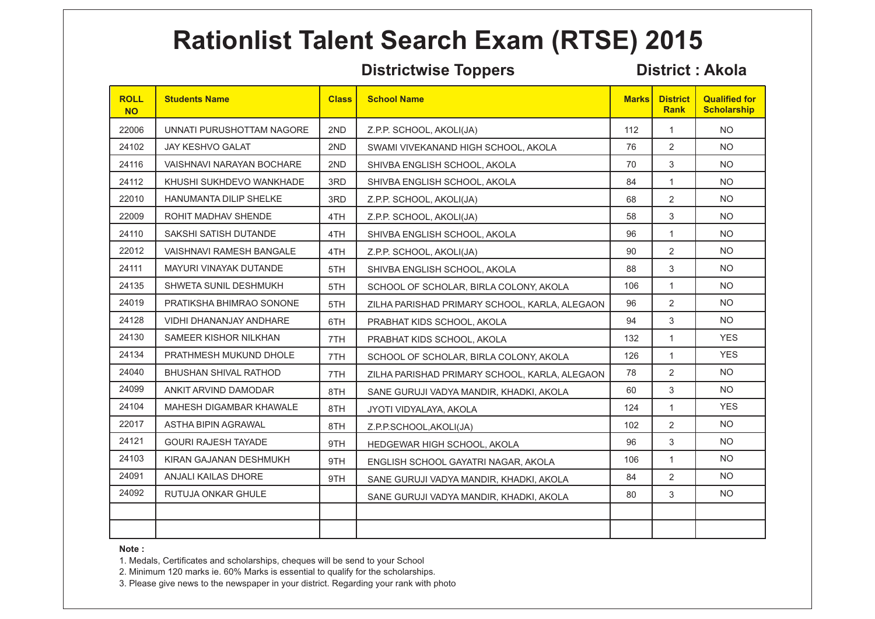### **Districtwise Toppers District : Akola**

| <b>ROLL</b><br><b>NO</b> | <b>Students Name</b>            | <b>Class</b> | <b>School Name</b>                            | <b>Marks</b> | <b>District</b><br><b>Rank</b> | <b>Qualified for</b><br><b>Scholarship</b> |
|--------------------------|---------------------------------|--------------|-----------------------------------------------|--------------|--------------------------------|--------------------------------------------|
| 22006                    | UNNATI PURUSHOTTAM NAGORE       | 2ND          | Z.P.P. SCHOOL, AKOLI(JA)                      | 112          | $\mathbf{1}$                   | NO.                                        |
| 24102                    | <b>JAY KESHVO GALAT</b>         | 2ND          | SWAMI VIVEKANAND HIGH SCHOOL, AKOLA           | 76           | 2                              | NO.                                        |
| 24116                    | VAISHNAVI NARAYAN BOCHARE       | 2ND          | SHIVBA ENGLISH SCHOOL, AKOLA                  | 70           | 3                              | <b>NO</b>                                  |
| 24112                    | KHUSHI SUKHDEVO WANKHADE        | 3RD          | SHIVBA ENGLISH SCHOOL, AKOLA                  | 84           | $\mathbf{1}$                   | <b>NO</b>                                  |
| 22010                    | HANUMANTA DILIP SHELKE          | 3RD          | Z.P.P. SCHOOL, AKOLI(JA)                      | 68           | $\overline{2}$                 | <b>NO</b>                                  |
| 22009                    | ROHIT MADHAV SHENDE             | 4TH          | Z.P.P. SCHOOL, AKOLI(JA)                      | 58           | 3                              | <b>NO</b>                                  |
| 24110                    | SAKSHI SATISH DUTANDE           | 4TH          | SHIVBA ENGLISH SCHOOL, AKOLA                  | 96           | 1                              | NO.                                        |
| 22012                    | <b>VAISHNAVI RAMESH BANGALE</b> | 4TH          | Z.P.P. SCHOOL, AKOLI(JA)                      | 90           | 2                              | NO.                                        |
| 24111                    | MAYURI VINAYAK DUTANDE          | 5TH          | SHIVBA ENGLISH SCHOOL, AKOLA                  | 88           | 3                              | NO.                                        |
| 24135                    | <b>SHWETA SUNIL DESHMUKH</b>    | 5TH          | SCHOOL OF SCHOLAR, BIRLA COLONY, AKOLA        | 106          | $\mathbf{1}$                   | NO.                                        |
| 24019                    | PRATIKSHA BHIMRAO SONONE        | 5TH          | ZILHA PARISHAD PRIMARY SCHOOL, KARLA, ALEGAON | 96           | 2                              | <b>NO</b>                                  |
| 24128                    | VIDHI DHANANJAY ANDHARE         | 6TH          | PRABHAT KIDS SCHOOL, AKOLA                    | 94           | 3                              | <b>NO</b>                                  |
| 24130                    | SAMEER KISHOR NILKHAN           | 7TH          | PRABHAT KIDS SCHOOL, AKOLA                    | 132          | $\mathbf{1}$                   | <b>YES</b>                                 |
| 24134                    | PRATHMESH MUKUND DHOLE          | 7TH          | SCHOOL OF SCHOLAR, BIRLA COLONY, AKOLA        | 126          | $\mathbf{1}$                   | <b>YES</b>                                 |
| 24040                    | <b>BHUSHAN SHIVAL RATHOD</b>    | 7TH          | ZILHA PARISHAD PRIMARY SCHOOL, KARLA, ALEGAON | 78           | 2                              | NO.                                        |
| 24099                    | ANKIT ARVIND DAMODAR            | 8TH          | SANE GURUJI VADYA MANDIR, KHADKI, AKOLA       | 60           | 3                              | NO.                                        |
| 24104                    | MAHESH DIGAMBAR KHAWALE         | 8TH          | JYOTI VIDYALAYA, AKOLA                        | 124          | $\mathbf{1}$                   | <b>YES</b>                                 |
| 22017                    | ASTHA BIPIN AGRAWAL             | 8TH          | Z.P.P.SCHOOL, AKOLI(JA)                       | 102          | 2                              | <b>NO</b>                                  |
| 24121                    | <b>GOURI RAJESH TAYADE</b>      | 9TH          | HEDGEWAR HIGH SCHOOL, AKOLA                   | 96           | 3                              | <b>NO</b>                                  |
| 24103                    | KIRAN GAJANAN DESHMUKH          | 9TH          | ENGLISH SCHOOL GAYATRI NAGAR, AKOLA           | 106          | $\mathbf{1}$                   | <b>NO</b>                                  |
| 24091                    | <b>ANJALI KAILAS DHORE</b>      | 9TH          | SANE GURUJI VADYA MANDIR, KHADKI, AKOLA       | 84           | 2                              | NO.                                        |
| 24092                    | RUTUJA ONKAR GHULE              |              | SANE GURUJI VADYA MANDIR, KHADKI, AKOLA       | 80           | 3                              | NO.                                        |
|                          |                                 |              |                                               |              |                                |                                            |
|                          |                                 |              |                                               |              |                                |                                            |

### **Note :**

1. Medals, Certificates and scholarships, cheques will be send to your School

2. Minimum 120 marks ie. 60% Marks is essential to qualify for the scholarships.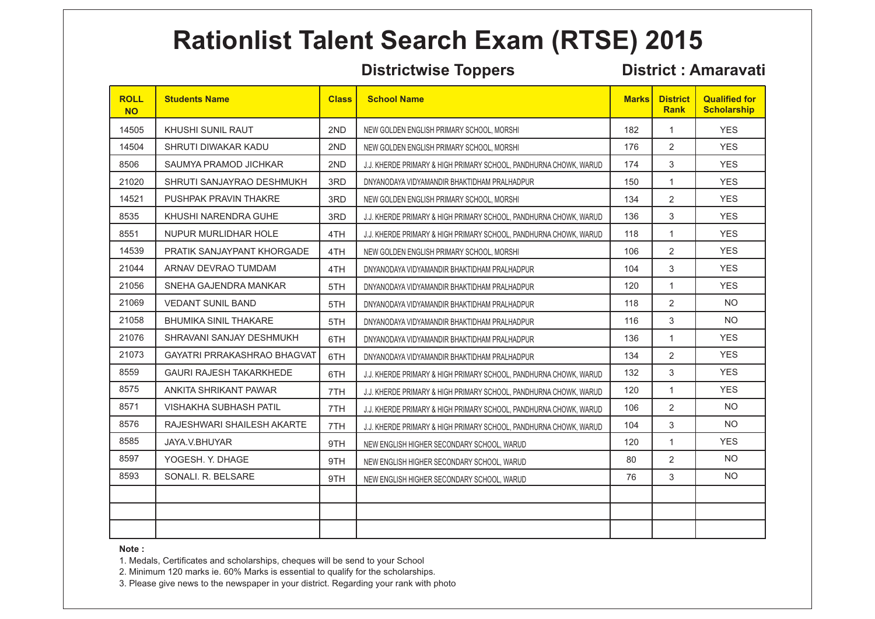### **Districtwise Toppers District : Amaravati**

| <b>ROLL</b><br><b>NO</b> | <b>Students Name</b>           | <b>Class</b> | <b>School Name</b>                                                | <b>Marks</b> | <b>District</b><br><b>Rank</b> | <b>Qualified for</b><br><b>Scholarship</b> |
|--------------------------|--------------------------------|--------------|-------------------------------------------------------------------|--------------|--------------------------------|--------------------------------------------|
| 14505                    | KHUSHI SUNIL RAUT              | 2ND          | NEW GOLDEN ENGLISH PRIMARY SCHOOL, MORSHI                         | 182          | 1                              | <b>YES</b>                                 |
| 14504                    | SHRUTI DIWAKAR KADU            | 2ND          | NEW GOLDEN ENGLISH PRIMARY SCHOOL, MORSHI                         | 176          | 2                              | <b>YES</b>                                 |
| 8506                     | SAUMYA PRAMOD JICHKAR          | 2ND          | J.J. KHERDE PRIMARY & HIGH PRIMARY SCHOOL, PANDHURNA CHOWK, WARUD | 174          | 3                              | <b>YES</b>                                 |
| 21020                    | SHRUTI SANJAYRAO DESHMUKH      | 3RD          | DNYANODAYA VIDYAMANDIR BHAKTIDHAM PRALHADPUR                      | 150          | $\mathbf{1}$                   | <b>YES</b>                                 |
| 14521                    | PUSHPAK PRAVIN THAKRE          | 3RD          | NEW GOLDEN ENGLISH PRIMARY SCHOOL, MORSHI                         | 134          | 2                              | <b>YES</b>                                 |
| 8535                     | KHUSHI NARENDRA GUHE           | 3RD          | J.J. KHERDE PRIMARY & HIGH PRIMARY SCHOOL, PANDHURNA CHOWK, WARUD | 136          | 3                              | <b>YES</b>                                 |
| 8551                     | NUPUR MURLIDHAR HOLE           | 4TH          | J.J. KHERDE PRIMARY & HIGH PRIMARY SCHOOL, PANDHURNA CHOWK, WARUD | 118          | 1                              | <b>YES</b>                                 |
| 14539                    | PRATIK SANJAYPANT KHORGADE     | 4TH          | NEW GOLDEN ENGLISH PRIMARY SCHOOL, MORSHI                         | 106          | $\overline{2}$                 | <b>YES</b>                                 |
| 21044                    | ARNAV DEVRAO TUMDAM            | 4TH          | DNYANODAYA VIDYAMANDIR BHAKTIDHAM PRALHADPUR                      | 104          | 3                              | <b>YES</b>                                 |
| 21056                    | SNEHA GAJENDRA MANKAR          | 5TH          | DNYANODAYA VIDYAMANDIR BHAKTIDHAM PRALHADPUR                      | 120          | $\mathbf{1}$                   | <b>YES</b>                                 |
| 21069                    | <b>VEDANT SUNIL BAND</b>       | 5TH          | DNYANODAYA VIDYAMANDIR BHAKTIDHAM PRALHADPUR                      | 118          | $\overline{2}$                 | <b>NO</b>                                  |
| 21058                    | <b>BHUMIKA SINIL THAKARE</b>   | 5TH          | DNYANODAYA VIDYAMANDIR BHAKTIDHAM PRALHADPUR                      | 116          | 3                              | <b>NO</b>                                  |
| 21076                    | SHRAVANI SANJAY DESHMUKH       | 6TH          | DNYANODAYA VIDYAMANDIR BHAKTIDHAM PRALHADPUR                      | 136          | $\mathbf{1}$                   | <b>YES</b>                                 |
| 21073                    | GAYATRI PRRAKASHRAO BHAGVAT    | 6TH          | DNYANODAYA VIDYAMANDIR BHAKTIDHAM PRALHADPUR                      | 134          | 2                              | <b>YES</b>                                 |
| 8559                     | <b>GAURI RAJESH TAKARKHEDE</b> | 6TH          | J.J. KHERDE PRIMARY & HIGH PRIMARY SCHOOL, PANDHURNA CHOWK, WARUD | 132          | 3                              | <b>YES</b>                                 |
| 8575                     | ANKITA SHRIKANT PAWAR          | 7TH          | J.J. KHERDE PRIMARY & HIGH PRIMARY SCHOOL, PANDHURNA CHOWK, WARUD | 120          | $\mathbf{1}$                   | <b>YES</b>                                 |
| 8571                     | <b>VISHAKHA SUBHASH PATIL</b>  | 7TH          | J.J. KHERDE PRIMARY & HIGH PRIMARY SCHOOL, PANDHURNA CHOWK, WARUD | 106          | 2                              | <b>NO</b>                                  |
| 8576                     | RAJESHWARI SHAILESH AKARTE     | 7TH          | J.J. KHERDE PRIMARY & HIGH PRIMARY SCHOOL, PANDHURNA CHOWK, WARUD | 104          | 3                              | <b>NO</b>                                  |
| 8585                     | JAYA.V.BHUYAR                  | 9TH          | NEW ENGLISH HIGHER SECONDARY SCHOOL, WARUD                        | 120          | $\mathbf{1}$                   | <b>YES</b>                                 |
| 8597                     | YOGESH. Y. DHAGE               | 9TH          | NEW ENGLISH HIGHER SECONDARY SCHOOL, WARUD                        | 80           | 2                              | <b>NO</b>                                  |
| 8593                     | SONALI. R. BELSARE             | 9TH          | NEW ENGLISH HIGHER SECONDARY SCHOOL, WARUD                        | 76           | 3                              | <b>NO</b>                                  |
|                          |                                |              |                                                                   |              |                                |                                            |
|                          |                                |              |                                                                   |              |                                |                                            |
|                          |                                |              |                                                                   |              |                                |                                            |

### **Note :**

1. Medals, Certificates and scholarships, cheques will be send to your School

2. Minimum 120 marks ie. 60% Marks is essential to qualify for the scholarships.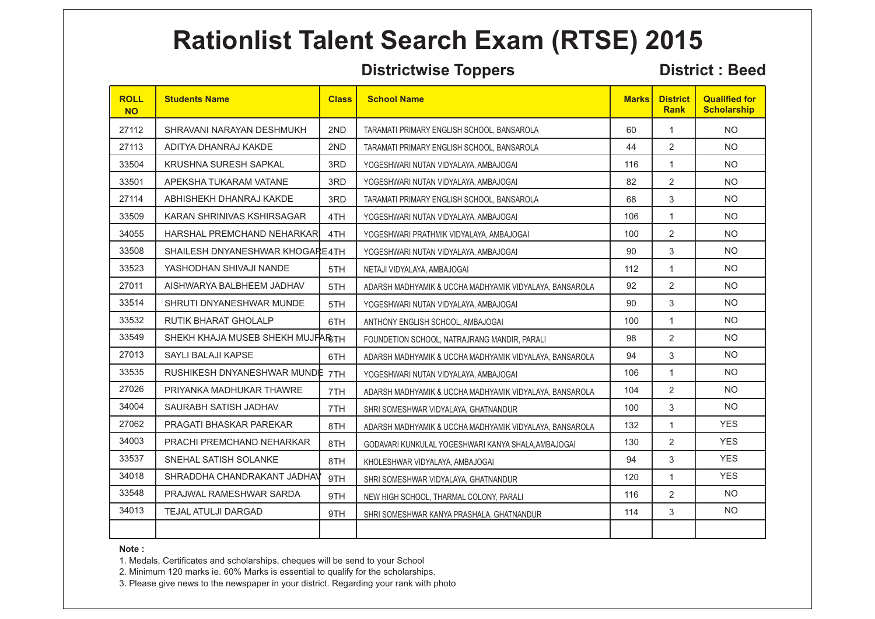### **Districtwise Toppers District : Beed**

| <b>ROLL</b><br><b>NO</b> | <b>Students Name</b>              | <b>Class</b> | <b>School Name</b>                                      | <b>Marks</b> | <b>District</b><br><b>Rank</b> | <b>Qualified for</b><br><b>Scholarship</b> |
|--------------------------|-----------------------------------|--------------|---------------------------------------------------------|--------------|--------------------------------|--------------------------------------------|
| 27112                    | SHRAVANI NARAYAN DESHMUKH         | 2ND          | TARAMATI PRIMARY ENGLISH SCHOOL, BANSAROLA              | 60           | 1                              | <b>NO</b>                                  |
| 27113                    | ADITYA DHANRAJ KAKDE              | 2ND          | TARAMATI PRIMARY ENGLISH SCHOOL, BANSAROLA              | 44           | 2                              | <b>NO</b>                                  |
| 33504                    | KRUSHNA SURESH SAPKAL             | 3RD          | YOGESHWARI NUTAN VIDYALAYA, AMBAJOGAI                   | 116          | 1                              | <b>NO</b>                                  |
| 33501                    | APEKSHA TUKARAM VATANE            | 3RD          | YOGESHWARI NUTAN VIDYALAYA, AMBAJOGAI                   | 82           | $\overline{2}$                 | <b>NO</b>                                  |
| 27114                    | ABHISHEKH DHANRAJ KAKDE           | 3RD          | TARAMATI PRIMARY ENGLISH SCHOOL, BANSAROLA              | 68           | 3                              | <b>NO</b>                                  |
| 33509                    | KARAN SHRINIVAS KSHIRSAGAR        | 4TH          | YOGESHWARI NUTAN VIDYALAYA, AMBAJOGAI                   | 106          | 1                              | <b>NO</b>                                  |
| 34055                    | <b>HARSHAL PREMCHAND NEHARKAR</b> | 4TH          | YOGESHWARI PRATHMIK VIDYALAYA, AMBAJOGAI                | 100          | $\overline{2}$                 | <b>NO</b>                                  |
| 33508                    | SHAILESH DNYANESHWAR KHOGARE4TH   |              | YOGESHWARI NUTAN VIDYALAYA, AMBAJOGAI                   | 90           | 3                              | <b>NO</b>                                  |
| 33523                    | YASHODHAN SHIVAJI NANDE           | 5TH          | NETAJI VIDYALAYA, AMBAJOGAI                             | 112          | 1                              | <b>NO</b>                                  |
| 27011                    | AISHWARYA BALBHEEM JADHAV         | 5TH          | ADARSH MADHYAMIK & UCCHA MADHYAMIK VIDYALAYA, BANSAROLA | 92           | 2                              | <b>NO</b>                                  |
| 33514                    | SHRUTI DNYANESHWAR MUNDE          | 5TH          | YOGESHWARI NUTAN VIDYALAYA, AMBAJOGAI                   | 90           | 3                              | <b>NO</b>                                  |
| 33532                    | <b>RUTIK BHARAT GHOLALP</b>       | 6TH          | ANTHONY ENGLISH SCHOOL, AMBAJOGAI                       | 100          | $\mathbf{1}$                   | <b>NO</b>                                  |
| 33549                    | SHEKH KHAJA MUSEB SHEKH MUJFARGTH |              | FOUNDETION SCHOOL, NATRAJRANG MANDIR, PARALI            | 98           | 2                              | <b>NO</b>                                  |
| 27013                    | SAYLI BALAJI KAPSE                | 6TH          | ADARSH MADHYAMIK & UCCHA MADHYAMIK VIDYALAYA, BANSAROLA | 94           | 3                              | <b>NO</b>                                  |
| 33535                    | RUSHIKESH DNYANESHWAR MUNDE 7TH   |              | YOGESHWARI NUTAN VIDYALAYA, AMBAJOGAI                   | 106          | $\mathbf{1}$                   | <b>NO</b>                                  |
| 27026                    | PRIYANKA MADHUKAR THAWRE          | 7TH          | ADARSH MADHYAMIK & UCCHA MADHYAMIK VIDYALAYA, BANSAROLA | 104          | $\overline{2}$                 | <b>NO</b>                                  |
| 34004                    | SAURABH SATISH JADHAV             | 7TH          | SHRI SOMESHWAR VIDYALAYA, GHATNANDUR                    | 100          | 3                              | <b>NO</b>                                  |
| 27062                    | <b>PRAGATI BHASKAR PAREKAR</b>    | 8TH          | ADARSH MADHYAMIK & UCCHA MADHYAMIK VIDYALAYA, BANSAROLA | 132          | 1                              | <b>YES</b>                                 |
| 34003                    | PRACHI PREMCHAND NEHARKAR         | 8TH          | GODAVARI KUNKULAL YOGESHWARI KANYA SHALA, AMBAJOGAI     | 130          | $\overline{2}$                 | <b>YES</b>                                 |
| 33537                    | SNEHAL SATISH SOLANKE             | 8TH          | KHOLESHWAR VIDYALAYA, AMBAJOGAI                         | 94           | 3                              | <b>YES</b>                                 |
| 34018                    | SHRADDHA CHANDRAKANT JADHAV       | 9TH          | SHRI SOMESHWAR VIDYALAYA, GHATNANDUR                    | 120          | $\mathbf{1}$                   | <b>YES</b>                                 |
| 33548                    | PRAJWAL RAMESHWAR SARDA           | 9TH          | NEW HIGH SCHOOL, THARMAL COLONY, PARALI                 | 116          | $\overline{2}$                 | <b>NO</b>                                  |
| 34013                    | TEJAL ATULJI DARGAD               | 9TH          | SHRI SOMESHWAR KANYA PRASHALA, GHATNANDUR               | 114          | 3                              | <b>NO</b>                                  |
|                          |                                   |              |                                                         |              |                                |                                            |

### **Note :**

1. Medals, Certificates and scholarships, cheques will be send to your School

2. Minimum 120 marks ie. 60% Marks is essential to qualify for the scholarships.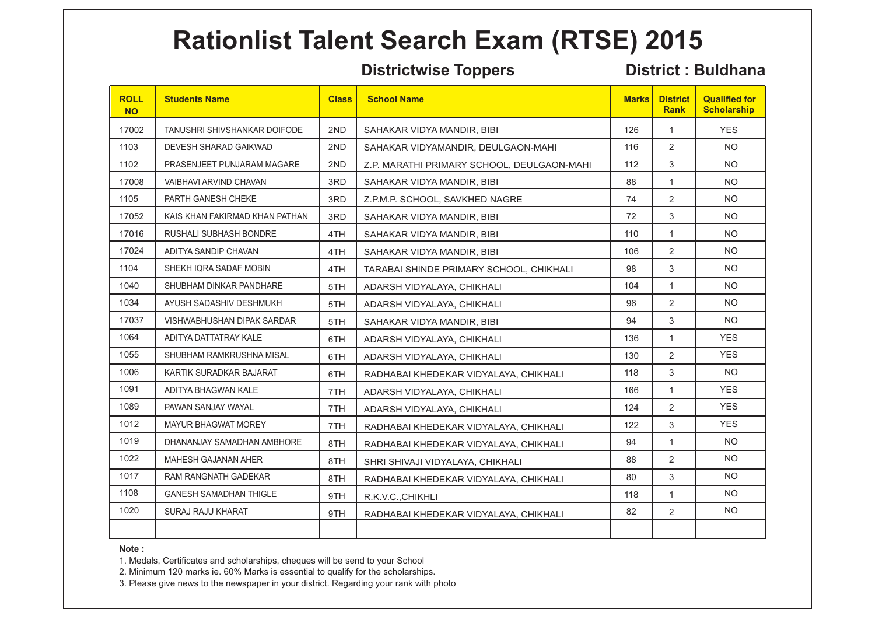### **Districtwise Toppers District : Buldhana**

| <b>ROLL</b><br><b>NO</b> | <b>Students Name</b>              | <b>Class</b> | <b>School Name</b>                         | <b>Marks</b> | <b>District</b><br><b>Rank</b> | <b>Qualified for</b><br><b>Scholarship</b> |
|--------------------------|-----------------------------------|--------------|--------------------------------------------|--------------|--------------------------------|--------------------------------------------|
| 17002                    | TANUSHRI SHIVSHANKAR DOIFODE      | 2ND          | SAHAKAR VIDYA MANDIR. BIBI                 | 126          | 1                              | <b>YES</b>                                 |
| 1103                     | DEVESH SHARAD GAIKWAD             | 2ND          | SAHAKAR VIDYAMANDIR, DEULGAON-MAHI         | 116          | 2                              | <b>NO</b>                                  |
| 1102                     | PRASENJEET PUNJARAM MAGARE        | 2ND          | Z.P. MARATHI PRIMARY SCHOOL, DEULGAON-MAHI | 112          | 3                              | <b>NO</b>                                  |
| 17008                    | VAIBHAVI ARVIND CHAVAN            | 3RD          | SAHAKAR VIDYA MANDIR, BIBI                 | 88           | $\mathbf{1}$                   | <b>NO</b>                                  |
| 1105                     | PARTH GANESH CHEKE                | 3RD          | Z.P.M.P. SCHOOL, SAVKHED NAGRE             | 74           | 2                              | <b>NO</b>                                  |
| 17052                    | KAIS KHAN FAKIRMAD KHAN PATHAN    | 3RD          | SAHAKAR VIDYA MANDIR, BIBI                 | 72           | 3                              | <b>NO</b>                                  |
| 17016                    | <b>RUSHALI SUBHASH BONDRE</b>     | 4TH          | SAHAKAR VIDYA MANDIR, BIBI                 | 110          | 1                              | <b>NO</b>                                  |
| 17024                    | ADITYA SANDIP CHAVAN              | 4TH          | SAHAKAR VIDYA MANDIR, BIBI                 | 106          | 2                              | <b>NO</b>                                  |
| 1104                     | SHEKH IQRA SADAF MOBIN            | 4TH          | TARABAI SHINDE PRIMARY SCHOOL, CHIKHALI    | 98           | 3                              | <b>NO</b>                                  |
| 1040                     | SHUBHAM DINKAR PANDHARE           | 5TH          | ADARSH VIDYALAYA, CHIKHALI                 | 104          | $\mathbf{1}$                   | <b>NO</b>                                  |
| 1034                     | AYUSH SADASHIV DESHMUKH           | 5TH          | ADARSH VIDYALAYA, CHIKHALI                 | 96           | $\overline{2}$                 | <b>NO</b>                                  |
| 17037                    | <b>VISHWABHUSHAN DIPAK SARDAR</b> | 5TH          | SAHAKAR VIDYA MANDIR, BIBI                 | 94           | 3                              | <b>NO</b>                                  |
| 1064                     | ADITYA DATTATRAY KALE             | 6TH          | ADARSH VIDYALAYA, CHIKHALI                 | 136          | $\mathbf{1}$                   | <b>YES</b>                                 |
| 1055                     | SHUBHAM RAMKRUSHNA MISAL          | 6TH          | ADARSH VIDYALAYA, CHIKHALI                 | 130          | 2                              | <b>YES</b>                                 |
| 1006                     | KARTIK SURADKAR BAJARAT           | 6TH          | RADHABAI KHEDEKAR VIDYALAYA, CHIKHALI      | 118          | 3                              | <b>NO</b>                                  |
| 1091                     | ADITYA BHAGWAN KALE               | 7TH          | ADARSH VIDYALAYA, CHIKHALI                 | 166          | $\mathbf{1}$                   | <b>YES</b>                                 |
| 1089                     | PAWAN SANJAY WAYAL                | 7TH          | ADARSH VIDYALAYA, CHIKHALI                 | 124          | 2                              | <b>YES</b>                                 |
| 1012                     | <b>MAYUR BHAGWAT MOREY</b>        | 7TH          | RADHABAI KHEDEKAR VIDYALAYA, CHIKHALI      | 122          | 3                              | <b>YES</b>                                 |
| 1019                     | DHANANJAY SAMADHAN AMBHORE        | 8TH          | RADHABAI KHEDEKAR VIDYALAYA, CHIKHALI      | 94           | $\mathbf{1}$                   | <b>NO</b>                                  |
| 1022                     | <b>MAHESH GAJANAN AHER</b>        | 8TH          | SHRI SHIVAJI VIDYALAYA, CHIKHALI           | 88           | 2                              | <b>NO</b>                                  |
| 1017                     | <b>RAM RANGNATH GADEKAR</b>       | 8TH          | RADHABAI KHEDEKAR VIDYALAYA, CHIKHALI      | 80           | 3                              | <b>NO</b>                                  |
| 1108                     | <b>GANESH SAMADHAN THIGLE</b>     | 9TH          | R.K.V.C., CHIKHLI                          | 118          | $\mathbf{1}$                   | <b>NO</b>                                  |
| 1020                     | SURAJ RAJU KHARAT                 | 9TH          | RADHABAI KHEDEKAR VIDYALAYA, CHIKHALI      | 82           | 2                              | NO.                                        |
|                          |                                   |              |                                            |              |                                |                                            |

### **Note :**

1. Medals, Certificates and scholarships, cheques will be send to your School

2. Minimum 120 marks ie. 60% Marks is essential to qualify for the scholarships.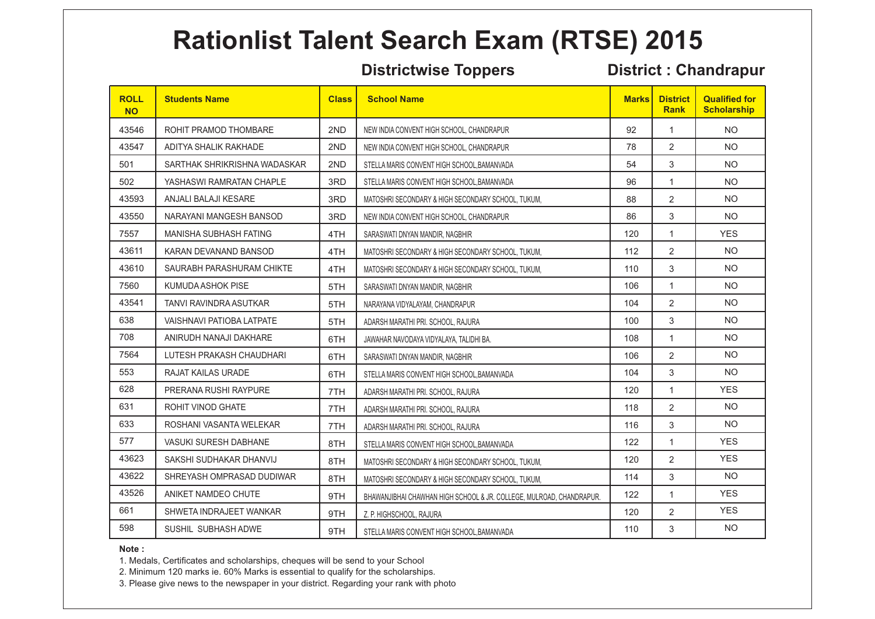### **Districtwise Toppers District : Chandrapur**

| <b>ROLL</b><br><b>NO</b> | <b>Students Name</b>             | <b>Class</b> | <b>School Name</b>                                                   | <b>Marks</b> | <b>District</b><br><b>Rank</b> | <b>Qualified for</b><br><b>Scholarship</b> |
|--------------------------|----------------------------------|--------------|----------------------------------------------------------------------|--------------|--------------------------------|--------------------------------------------|
| 43546                    | ROHIT PRAMOD THOMBARE            | 2ND          | NEW INDIA CONVENT HIGH SCHOOL, CHANDRAPUR                            | 92           | 1                              | <b>NO</b>                                  |
| 43547                    | ADITYA SHALIK RAKHADE            | 2ND          | NEW INDIA CONVENT HIGH SCHOOL, CHANDRAPUR                            | 78           | 2                              | <b>NO</b>                                  |
| 501                      | SARTHAK SHRIKRISHNA WADASKAR     | 2ND          | STELLA MARIS CONVENT HIGH SCHOOL.BAMANVADA                           | 54           | 3                              | <b>NO</b>                                  |
| 502                      | YASHASWI RAMRATAN CHAPLE         | 3RD          | STELLA MARIS CONVENT HIGH SCHOOL BAMANVADA                           | 96           | $\mathbf{1}$                   | <b>NO</b>                                  |
| 43593                    | ANJALI BALAJI KESARE             | 3RD          | MATOSHRI SECONDARY & HIGH SECONDARY SCHOOL, TUKUM.                   | 88           | 2                              | <b>NO</b>                                  |
| 43550                    | NARAYANI MANGESH BANSOD          | 3RD          | NEW INDIA CONVENT HIGH SCHOOL, CHANDRAPUR                            | 86           | 3                              | <b>NO</b>                                  |
| 7557                     | <b>MANISHA SUBHASH FATING</b>    | 4TH          | SARASWATI DNYAN MANDIR, NAGBHIR                                      | 120          | 1                              | <b>YES</b>                                 |
| 43611                    | KARAN DEVANAND BANSOD            | 4TH          | MATOSHRI SECONDARY & HIGH SECONDARY SCHOOL, TUKUM.                   | 112          | 2                              | <b>NO</b>                                  |
| 43610                    | SAURABH PARASHURAM CHIKTE        | 4TH          | MATOSHRI SECONDARY & HIGH SECONDARY SCHOOL, TUKUM.                   | 110          | 3                              | <b>NO</b>                                  |
| 7560                     | KUMUDA ASHOK PISE                | 5TH          | SARASWATI DNYAN MANDIR, NAGBHIR                                      | 106          | $\mathbf{1}$                   | <b>NO</b>                                  |
| 43541                    | TANVI RAVINDRA ASUTKAR           | 5TH          | NARAYANA VIDYALAYAM, CHANDRAPUR                                      | 104          | 2                              | <b>NO</b>                                  |
| 638                      | <b>VAISHNAVI PATIOBA LATPATE</b> | 5TH          | ADARSH MARATHI PRI. SCHOOL. RAJURA                                   | 100          | 3                              | <b>NO</b>                                  |
| 708                      | ANIRUDH NANAJI DAKHARE           | 6TH          | JAWAHAR NAVODAYA VIDYALAYA, TALIDHI BA.                              | 108          | $\mathbf{1}$                   | <b>NO</b>                                  |
| 7564                     | LUTESH PRAKASH CHAUDHARI         | 6TH          | SARASWATI DNYAN MANDIR, NAGBHIR                                      | 106          | 2                              | <b>NO</b>                                  |
| 553                      | RAJAT KAILAS URADE               | 6TH          | STELLA MARIS CONVENT HIGH SCHOOL BAMANVADA                           | 104          | 3                              | <b>NO</b>                                  |
| 628                      | PRERANA RUSHI RAYPURE            | 7TH          | ADARSH MARATHI PRI. SCHOOL, RAJURA                                   | 120          | $\mathbf{1}$                   | <b>YES</b>                                 |
| 631                      | ROHIT VINOD GHATE                | 7TH          | ADARSH MARATHI PRI. SCHOOL, RAJURA                                   | 118          | $\overline{2}$                 | <b>NO</b>                                  |
| 633                      | ROSHANI VASANTA WELEKAR          | 7TH          | ADARSH MARATHI PRI. SCHOOL, RAJURA                                   | 116          | 3                              | <b>NO</b>                                  |
| 577                      | <b>VASUKI SURESH DABHANE</b>     | 8TH          | STELLA MARIS CONVENT HIGH SCHOOL BAMANVADA                           | 122          | $\mathbf{1}$                   | <b>YES</b>                                 |
| 43623                    | SAKSHI SUDHAKAR DHANVIJ          | 8TH          | MATOSHRI SECONDARY & HIGH SECONDARY SCHOOL, TUKUM,                   | 120          | 2                              | <b>YES</b>                                 |
| 43622                    | SHREYASH OMPRASAD DUDIWAR        | 8TH          | MATOSHRI SECONDARY & HIGH SECONDARY SCHOOL, TUKUM,                   | 114          | 3                              | <b>NO</b>                                  |
| 43526                    | ANIKET NAMDEO CHUTE              | 9TH          | BHAWANJIBHAI CHAWHAN HIGH SCHOOL & JR. COLLEGE, MULROAD, CHANDRAPUR. | 122          | $\mathbf{1}$                   | <b>YES</b>                                 |
| 661                      | SHWETA INDRAJEET WANKAR          | 9TH          | Z. P. HIGHSCHOOL, RAJURA                                             | 120          | 2                              | <b>YES</b>                                 |
| 598                      | SUSHIL SUBHASH ADWE              | 9TH          | STELLA MARIS CONVENT HIGH SCHOOL, BAMANVADA                          | 110          | 3                              | <b>NO</b>                                  |

### **Note :**

1. Medals, Certificates and scholarships, cheques will be send to your School

2. Minimum 120 marks ie. 60% Marks is essential to qualify for the scholarships.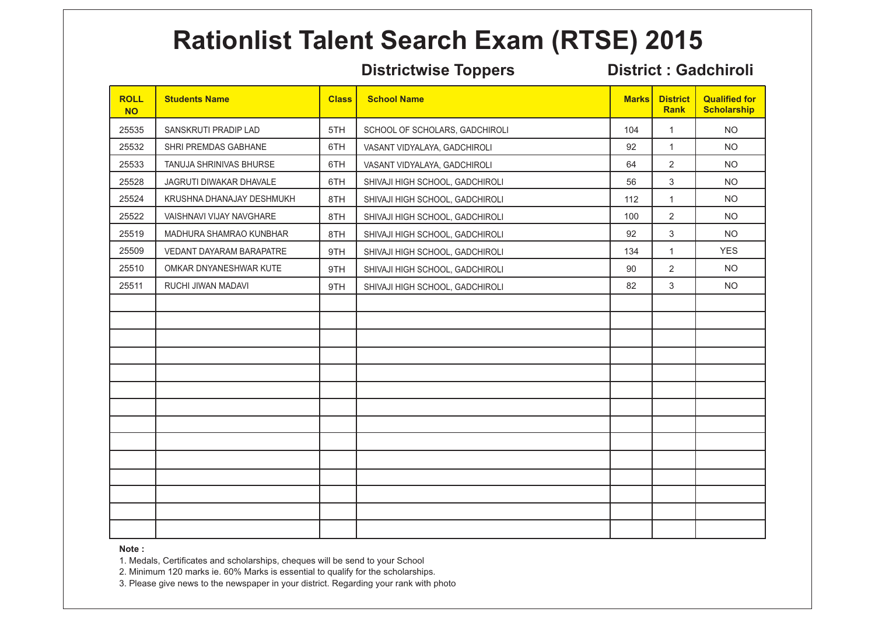### **Districtwise Toppers District : Gadchiroli**

| <b>ROLL</b><br><b>NO</b> | <b>Students Name</b>      | <b>Class</b> | <b>School Name</b>              | <b>Marks</b> | <b>District</b><br><b>Rank</b> | <b>Qualified for</b><br><b>Scholarship</b> |
|--------------------------|---------------------------|--------------|---------------------------------|--------------|--------------------------------|--------------------------------------------|
| 25535                    | SANSKRUTI PRADIP LAD      | 5TH          | SCHOOL OF SCHOLARS, GADCHIROLI  | 104          | $\mathbf{1}$                   | <b>NO</b>                                  |
| 25532                    | SHRI PREMDAS GABHANE      | 6TH          | VASANT VIDYALAYA, GADCHIROLI    | 92           | $\mathbf{1}$                   | <b>NO</b>                                  |
| 25533                    | TANUJA SHRINIVAS BHURSE   | 6TH          | VASANT VIDYALAYA, GADCHIROLI    | 64           | $\overline{2}$                 | <b>NO</b>                                  |
| 25528                    | JAGRUTI DIWAKAR DHAVALE   | 6TH          | SHIVAJI HIGH SCHOOL, GADCHIROLI | 56           | 3                              | <b>NO</b>                                  |
| 25524                    | KRUSHNA DHANAJAY DESHMUKH | 8TH          | SHIVAJI HIGH SCHOOL, GADCHIROLI | 112          | $\mathbf{1}$                   | <b>NO</b>                                  |
| 25522                    | VAISHNAVI VIJAY NAVGHARE  | 8TH          | SHIVAJI HIGH SCHOOL, GADCHIROLI | 100          | $\overline{2}$                 | <b>NO</b>                                  |
| 25519                    | MADHURA SHAMRAO KUNBHAR   | 8TH          | SHIVAJI HIGH SCHOOL, GADCHIROLI | 92           | $\mathbf{3}$                   | <b>NO</b>                                  |
| 25509                    | VEDANT DAYARAM BARAPATRE  | 9TH          | SHIVAJI HIGH SCHOOL, GADCHIROLI | 134          | $\mathbf{1}$                   | <b>YES</b>                                 |
| 25510                    | OMKAR DNYANESHWAR KUTE    | 9TH          | SHIVAJI HIGH SCHOOL, GADCHIROLI | 90           | $\overline{2}$                 | <b>NO</b>                                  |
| 25511                    | RUCHI JIWAN MADAVI        | 9TH          | SHIVAJI HIGH SCHOOL, GADCHIROLI | 82           | 3                              | <b>NO</b>                                  |
|                          |                           |              |                                 |              |                                |                                            |
|                          |                           |              |                                 |              |                                |                                            |
|                          |                           |              |                                 |              |                                |                                            |
|                          |                           |              |                                 |              |                                |                                            |
|                          |                           |              |                                 |              |                                |                                            |
|                          |                           |              |                                 |              |                                |                                            |
|                          |                           |              |                                 |              |                                |                                            |
|                          |                           |              |                                 |              |                                |                                            |
|                          |                           |              |                                 |              |                                |                                            |
|                          |                           |              |                                 |              |                                |                                            |
|                          |                           |              |                                 |              |                                |                                            |
|                          |                           |              |                                 |              |                                |                                            |
|                          |                           |              |                                 |              |                                |                                            |
|                          |                           |              |                                 |              |                                |                                            |

### **Note :**

1. Medals, Certificates and scholarships, cheques will be send to your School

2. Minimum 120 marks ie. 60% Marks is essential to qualify for the scholarships.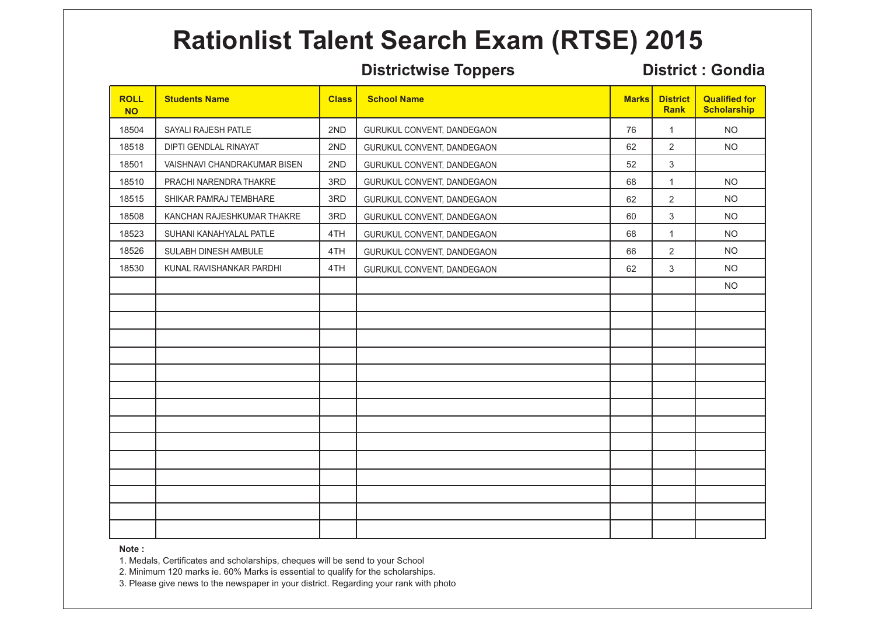### **Districtwise Toppers District : Gondia**

| <b>ROLL</b><br><b>NO</b> | <b>Students Name</b>         | <b>Class</b> | <b>School Name</b>         | <b>Marks</b> | <b>District</b><br>Rank | <b>Qualified for</b><br><b>Scholarship</b> |
|--------------------------|------------------------------|--------------|----------------------------|--------------|-------------------------|--------------------------------------------|
| 18504                    | SAYALI RAJESH PATLE          | 2ND          | GURUKUL CONVENT, DANDEGAON | 76           | $\mathbf{1}$            | <b>NO</b>                                  |
| 18518                    | DIPTI GENDLAL RINAYAT        | 2ND          | GURUKUL CONVENT, DANDEGAON | 62           | $\overline{2}$          | <b>NO</b>                                  |
| 18501                    | VAISHNAVI CHANDRAKUMAR BISEN | 2ND          | GURUKUL CONVENT, DANDEGAON | 52           | $\mathfrak{S}$          |                                            |
| 18510                    | PRACHI NARENDRA THAKRE       | 3RD          | GURUKUL CONVENT, DANDEGAON | 68           | $\mathbf{1}$            | <b>NO</b>                                  |
| 18515                    | SHIKAR PAMRAJ TEMBHARE       | 3RD          | GURUKUL CONVENT, DANDEGAON | 62           | $\overline{2}$          | <b>NO</b>                                  |
| 18508                    | KANCHAN RAJESHKUMAR THAKRE   | 3RD          | GURUKUL CONVENT, DANDEGAON | 60           | $\mathbf{3}$            | <b>NO</b>                                  |
| 18523                    | SUHANI KANAHYALAL PATLE      | 4TH          | GURUKUL CONVENT, DANDEGAON | 68           | $\mathbf{1}$            | <b>NO</b>                                  |
| 18526                    | SULABH DINESH AMBULE         | 4TH          | GURUKUL CONVENT, DANDEGAON | 66           | $\overline{c}$          | <b>NO</b>                                  |
| 18530                    | KUNAL RAVISHANKAR PARDHI     | 4TH          | GURUKUL CONVENT, DANDEGAON | 62           | 3                       | <b>NO</b>                                  |
|                          |                              |              |                            |              |                         | <b>NO</b>                                  |
|                          |                              |              |                            |              |                         |                                            |
|                          |                              |              |                            |              |                         |                                            |
|                          |                              |              |                            |              |                         |                                            |
|                          |                              |              |                            |              |                         |                                            |
|                          |                              |              |                            |              |                         |                                            |
|                          |                              |              |                            |              |                         |                                            |
|                          |                              |              |                            |              |                         |                                            |
|                          |                              |              |                            |              |                         |                                            |
|                          |                              |              |                            |              |                         |                                            |
|                          |                              |              |                            |              |                         |                                            |
|                          |                              |              |                            |              |                         |                                            |
|                          |                              |              |                            |              |                         |                                            |
|                          |                              |              |                            |              |                         |                                            |
|                          |                              |              |                            |              |                         |                                            |

### **Note :**

1. Medals, Certificates and scholarships, cheques will be send to your School

2. Minimum 120 marks ie. 60% Marks is essential to qualify for the scholarships.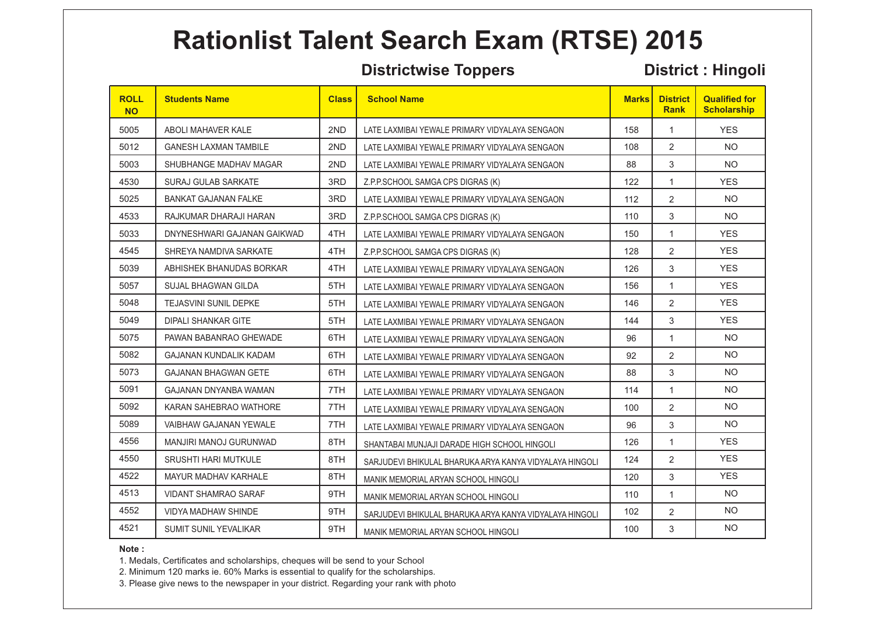### **Districtwise Toppers District : Hingoli**

| <b>ROLL</b><br><b>NO</b> | <b>Students Name</b>          | <b>Class</b> | <b>School Name</b>                                      | <b>Marks</b> | <b>District</b><br><b>Rank</b> | <b>Qualified for</b><br><b>Scholarship</b> |
|--------------------------|-------------------------------|--------------|---------------------------------------------------------|--------------|--------------------------------|--------------------------------------------|
| 5005                     | ABOLI MAHAVER KALE            | 2ND          | LATE LAXMIBAI YEWALE PRIMARY VIDYALAYA SENGAON          | 158          | $\mathbf{1}$                   | <b>YES</b>                                 |
| 5012                     | <b>GANESH LAXMAN TAMBILE</b>  | 2ND          | LATE LAXMIBAI YEWALE PRIMARY VIDYALAYA SENGAON          | 108          | 2                              | <b>NO</b>                                  |
| 5003                     | SHUBHANGE MADHAV MAGAR        | 2ND          | LATE LAXMIBAI YEWALE PRIMARY VIDYALAYA SENGAON          | 88           | 3                              | NO.                                        |
| 4530                     | <b>SURAJ GULAB SARKATE</b>    | 3RD          | Z.P.P.SCHOOL SAMGA CPS DIGRAS (K)                       | 122          | 1                              | <b>YES</b>                                 |
| 5025                     | <b>BANKAT GAJANAN FALKE</b>   | 3RD          | LATE LAXMIBAI YEWALE PRIMARY VIDYALAYA SENGAON          | 112          | 2                              | <b>NO</b>                                  |
| 4533                     | RAJKUMAR DHARAJI HARAN        | 3RD          | Z.P.P.SCHOOL SAMGA CPS DIGRAS (K)                       | 110          | 3                              | <b>NO</b>                                  |
| 5033                     | DNYNESHWARI GAJANAN GAIKWAD   | 4TH          | LATE LAXMIBAI YEWALE PRIMARY VIDYALAYA SENGAON          | 150          | 1                              | <b>YES</b>                                 |
| 4545                     | SHREYA NAMDIVA SARKATE        | 4TH          | Z.P.P.SCHOOL SAMGA CPS DIGRAS (K)                       | 128          | 2                              | <b>YES</b>                                 |
| 5039                     | ABHISHEK BHANUDAS BORKAR      | 4TH          | LATE LAXMIBAI YEWALE PRIMARY VIDYALAYA SENGAON          | 126          | 3                              | <b>YES</b>                                 |
| 5057                     | SUJAL BHAGWAN GILDA           | 5TH          | LATE LAXMIBAI YEWALE PRIMARY VIDYALAYA SENGAON          | 156          | $\mathbf{1}$                   | <b>YES</b>                                 |
| 5048                     | <b>TEJASVINI SUNIL DEPKE</b>  | 5TH          | LATE LAXMIBAI YEWALE PRIMARY VIDYALAYA SENGAON          | 146          | 2                              | <b>YES</b>                                 |
| 5049                     | DIPALI SHANKAR GITE           | 5TH          | LATE LAXMIBAI YEWALE PRIMARY VIDYALAYA SENGAON          | 144          | 3                              | <b>YES</b>                                 |
| 5075                     | PAWAN BABANRAO GHEWADE        | 6TH          | LATE LAXMIBAI YEWALE PRIMARY VIDYALAYA SENGAON          | 96           | $\mathbf{1}$                   | <b>NO</b>                                  |
| 5082                     | <b>GAJANAN KUNDALIK KADAM</b> | 6TH          | LATE LAXMIBAI YEWALE PRIMARY VIDYALAYA SENGAON          | 92           | $\overline{2}$                 | <b>NO</b>                                  |
| 5073                     | <b>GAJANAN BHAGWAN GETE</b>   | 6TH          | LATE LAXMIBAI YEWALE PRIMARY VIDYALAYA SENGAON          | 88           | 3                              | <b>NO</b>                                  |
| 5091                     | GAJANAN DNYANBA WAMAN         | 7TH          | LATE LAXMIBAI YEWALE PRIMARY VIDYALAYA SENGAON          | 114          | 1                              | <b>NO</b>                                  |
| 5092                     | KARAN SAHEBRAO WATHORE        | 7TH          | LATE LAXMIBAI YEWALE PRIMARY VIDYALAYA SENGAON          | 100          | 2                              | <b>NO</b>                                  |
| 5089                     | VAIBHAW GAJANAN YEWALE        | 7TH          | LATE LAXMIBAI YEWALE PRIMARY VIDYALAYA SENGAON          | 96           | 3                              | <b>NO</b>                                  |
| 4556                     | MANJIRI MANOJ GURUNWAD        | 8TH          | SHANTABAI MUNJAJI DARADE HIGH SCHOOL HINGOLI            | 126          | $\mathbf{1}$                   | <b>YES</b>                                 |
| 4550                     | <b>SRUSHTI HARI MUTKULE</b>   | 8TH          | SARJUDEVI BHIKULAL BHARUKA ARYA KANYA VIDYALAYA HINGOLI | 124          | 2                              | <b>YES</b>                                 |
| 4522                     | MAYUR MADHAV KARHALE          | 8TH          | MANIK MEMORIAL ARYAN SCHOOL HINGOLI                     | 120          | 3                              | <b>YES</b>                                 |
| 4513                     | <b>VIDANT SHAMRAO SARAF</b>   | 9TH          | MANIK MEMORIAL ARYAN SCHOOL HINGOLI                     | 110          | $\mathbf{1}$                   | <b>NO</b>                                  |
| 4552                     | <b>VIDYA MADHAW SHINDE</b>    | 9TH          | SARJUDEVI BHIKULAL BHARUKA ARYA KANYA VIDYALAYA HINGOLI | 102          | 2                              | <b>NO</b>                                  |
| 4521                     | <b>SUMIT SUNIL YEVALIKAR</b>  | 9TH          | MANIK MEMORIAL ARYAN SCHOOL HINGOLI                     | 100          | 3                              | <b>NO</b>                                  |

### **Note :**

1. Medals, Certificates and scholarships, cheques will be send to your School

2. Minimum 120 marks ie. 60% Marks is essential to qualify for the scholarships.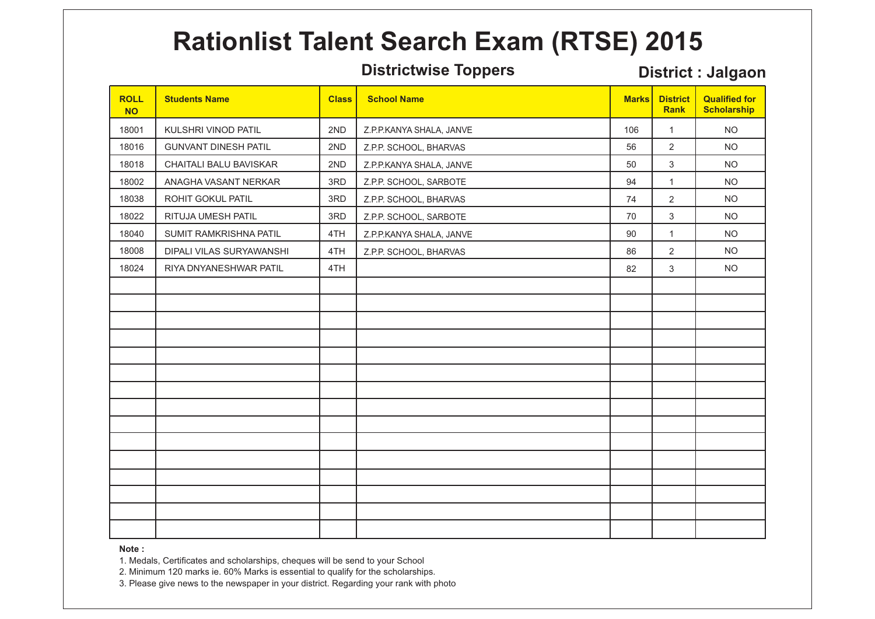### **Districtwise Toppers District : Jalgaon**

| <b>ROLL</b><br><b>NO</b> | <b>Students Name</b>        | <b>Class</b> | <b>School Name</b>       | <b>Marks</b> | <b>District</b><br><b>Rank</b> | <b>Qualified for</b><br><b>Scholarship</b> |
|--------------------------|-----------------------------|--------------|--------------------------|--------------|--------------------------------|--------------------------------------------|
| 18001                    | KULSHRI VINOD PATIL         | 2ND          | Z.P.P.KANYA SHALA, JANVE | 106          | $\mathbf{1}$                   | <b>NO</b>                                  |
| 18016                    | <b>GUNVANT DINESH PATIL</b> | 2ND          | Z.P.P. SCHOOL, BHARVAS   | 56           | $\overline{2}$                 | <b>NO</b>                                  |
| 18018                    | CHAITALI BALU BAVISKAR      | 2ND          | Z.P.P.KANYA SHALA, JANVE | 50           | $\mathbf{3}$                   | <b>NO</b>                                  |
| 18002                    | ANAGHA VASANT NERKAR        | 3RD          | Z.P.P. SCHOOL, SARBOTE   | 94           | $\mathbf{1}$                   | <b>NO</b>                                  |
| 18038                    | ROHIT GOKUL PATIL           | 3RD          | Z.P.P. SCHOOL, BHARVAS   | 74           | $\overline{2}$                 | <b>NO</b>                                  |
| 18022                    | RITUJA UMESH PATIL          | 3RD          | Z.P.P. SCHOOL, SARBOTE   | 70           | $\mathfrak{S}$                 | <b>NO</b>                                  |
| 18040                    | SUMIT RAMKRISHNA PATIL      | 4TH          | Z.P.P.KANYA SHALA, JANVE | 90           | $\mathbf{1}$                   | <b>NO</b>                                  |
| 18008                    | DIPALI VILAS SURYAWANSHI    | 4TH          | Z.P.P. SCHOOL, BHARVAS   | 86           | $\overline{2}$                 | <b>NO</b>                                  |
| 18024                    | RIYA DNYANESHWAR PATIL      | 4TH          |                          | 82           | $\mathbf{3}$                   | <b>NO</b>                                  |
|                          |                             |              |                          |              |                                |                                            |
|                          |                             |              |                          |              |                                |                                            |
|                          |                             |              |                          |              |                                |                                            |
|                          |                             |              |                          |              |                                |                                            |
|                          |                             |              |                          |              |                                |                                            |
|                          |                             |              |                          |              |                                |                                            |
|                          |                             |              |                          |              |                                |                                            |
|                          |                             |              |                          |              |                                |                                            |
|                          |                             |              |                          |              |                                |                                            |
|                          |                             |              |                          |              |                                |                                            |
|                          |                             |              |                          |              |                                |                                            |
|                          |                             |              |                          |              |                                |                                            |
|                          |                             |              |                          |              |                                |                                            |
|                          |                             |              |                          |              |                                |                                            |
|                          |                             |              |                          |              |                                |                                            |

### **Note :**

1. Medals, Certificates and scholarships, cheques will be send to your School

2. Minimum 120 marks ie. 60% Marks is essential to qualify for the scholarships.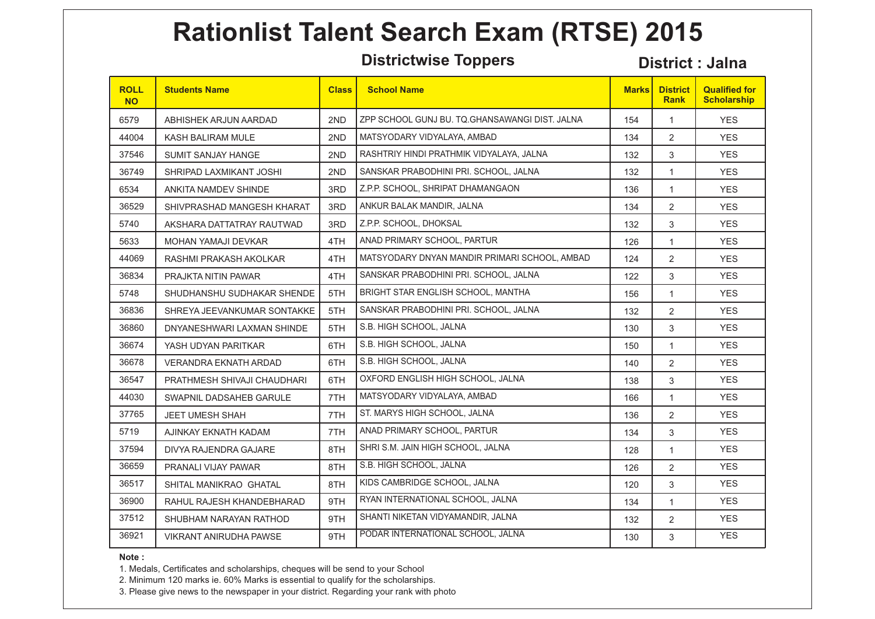**Districtwise Toppers District : Jalna** 

| <b>ROLL</b><br><b>NO</b> | <b>Students Name</b>         | <b>Class</b> | <b>School Name</b>                             | <b>Marks</b> | <b>District</b><br><b>Rank</b> | <b>Qualified for</b><br><b>Scholarship</b> |
|--------------------------|------------------------------|--------------|------------------------------------------------|--------------|--------------------------------|--------------------------------------------|
| 6579                     | ABHISHEK ARJUN AARDAD        | 2ND          | ZPP SCHOOL GUNJ BU. TQ.GHANSAWANGI DIST. JALNA | 154          | 1                              | <b>YES</b>                                 |
| 44004                    | KASH BALIRAM MULE            | 2ND          | MATSYODARY VIDYALAYA, AMBAD                    | 134          | $\overline{2}$                 | <b>YES</b>                                 |
| 37546                    | <b>SUMIT SANJAY HANGE</b>    | 2ND          | RASHTRIY HINDI PRATHMIK VIDYALAYA, JALNA       | 132          | 3                              | <b>YES</b>                                 |
| 36749                    | SHRIPAD LAXMIKANT JOSHI      | 2ND          | SANSKAR PRABODHINI PRI. SCHOOL. JALNA          | 132          | 1                              | <b>YES</b>                                 |
| 6534                     | ANKITA NAMDEV SHINDE         | 3RD          | Z.P.P. SCHOOL, SHRIPAT DHAMANGAON              | 136          | 1                              | <b>YES</b>                                 |
| 36529                    | SHIVPRASHAD MANGESH KHARAT   | 3RD          | ANKUR BALAK MANDIR, JALNA                      | 134          | $\overline{2}$                 | <b>YES</b>                                 |
| 5740                     | AKSHARA DATTATRAY RAUTWAD    | 3RD          | Z.P.P. SCHOOL, DHOKSAL                         | 132          | 3                              | <b>YES</b>                                 |
| 5633                     | <b>MOHAN YAMAJI DEVKAR</b>   | 4TH          | ANAD PRIMARY SCHOOL, PARTUR                    | 126          | 1                              | <b>YES</b>                                 |
| 44069                    | RASHMI PRAKASH AKOLKAR       | 4TH          | MATSYODARY DNYAN MANDIR PRIMARI SCHOOL, AMBAD  | 124          | 2                              | <b>YES</b>                                 |
| 36834                    | PRAJKTA NITIN PAWAR          | 4TH          | SANSKAR PRABODHINI PRI. SCHOOL, JALNA          | 122          | 3                              | <b>YES</b>                                 |
| 5748                     | SHUDHANSHU SUDHAKAR SHENDE   | 5TH          | BRIGHT STAR ENGLISH SCHOOL, MANTHA             | 156          | $\mathbf{1}$                   | <b>YES</b>                                 |
| 36836                    | SHREYA JEEVANKUMAR SONTAKKE  | 5TH          | SANSKAR PRABODHINI PRI. SCHOOL, JALNA          | 132          | $\overline{2}$                 | <b>YES</b>                                 |
| 36860                    | DNYANESHWARI LAXMAN SHINDE   | 5TH          | S.B. HIGH SCHOOL, JALNA                        | 130          | 3                              | <b>YES</b>                                 |
| 36674                    | YASH UDYAN PARITKAR          | 6TH          | S.B. HIGH SCHOOL, JALNA                        | 150          | $\mathbf{1}$                   | <b>YES</b>                                 |
| 36678                    | <b>VERANDRA EKNATH ARDAD</b> | 6TH          | S.B. HIGH SCHOOL, JALNA                        | 140          | 2                              | <b>YES</b>                                 |
| 36547                    | PRATHMESH SHIVAJI CHAUDHARI  | 6TH          | OXFORD ENGLISH HIGH SCHOOL, JALNA              | 138          | 3                              | <b>YES</b>                                 |
| 44030                    | SWAPNIL DADSAHEB GARULE      | 7TH          | MATSYODARY VIDYALAYA, AMBAD                    | 166          | $\mathbf{1}$                   | <b>YES</b>                                 |
| 37765                    | <b>JEET UMESH SHAH</b>       | 7TH          | ST. MARYS HIGH SCHOOL, JALNA                   | 136          | $\overline{2}$                 | <b>YES</b>                                 |
| 5719                     | AJINKAY EKNATH KADAM         | 7TH          | ANAD PRIMARY SCHOOL, PARTUR                    | 134          | 3                              | <b>YES</b>                                 |
| 37594                    | DIVYA RAJENDRA GAJARE        | 8TH          | SHRI S.M. JAIN HIGH SCHOOL, JALNA              | 128          | $\mathbf{1}$                   | <b>YES</b>                                 |
| 36659                    | PRANALI VIJAY PAWAR          | 8TH          | S.B. HIGH SCHOOL, JALNA                        | 126          | 2                              | <b>YES</b>                                 |
| 36517                    | SHITAL MANIKRAO GHATAL       | 8TH          | KIDS CAMBRIDGE SCHOOL, JALNA                   | 120          | 3                              | <b>YES</b>                                 |
| 36900                    | RAHUL RAJESH KHANDEBHARAD    | 9TH          | RYAN INTERNATIONAL SCHOOL, JALNA               | 134          | $\mathbf{1}$                   | <b>YES</b>                                 |
| 37512                    | SHUBHAM NARAYAN RATHOD       | 9TH          | SHANTI NIKETAN VIDYAMANDIR, JALNA              | 132          | $\overline{2}$                 | <b>YES</b>                                 |
| 36921                    | VIKRANT ANIRUDHA PAWSE       | 9TH          | PODAR INTERNATIONAL SCHOOL, JALNA              | 130          | 3                              | <b>YES</b>                                 |

**Note :** 

1. Medals, Certificates and scholarships, cheques will be send to your School

2. Minimum 120 marks ie. 60% Marks is essential to qualify for the scholarships.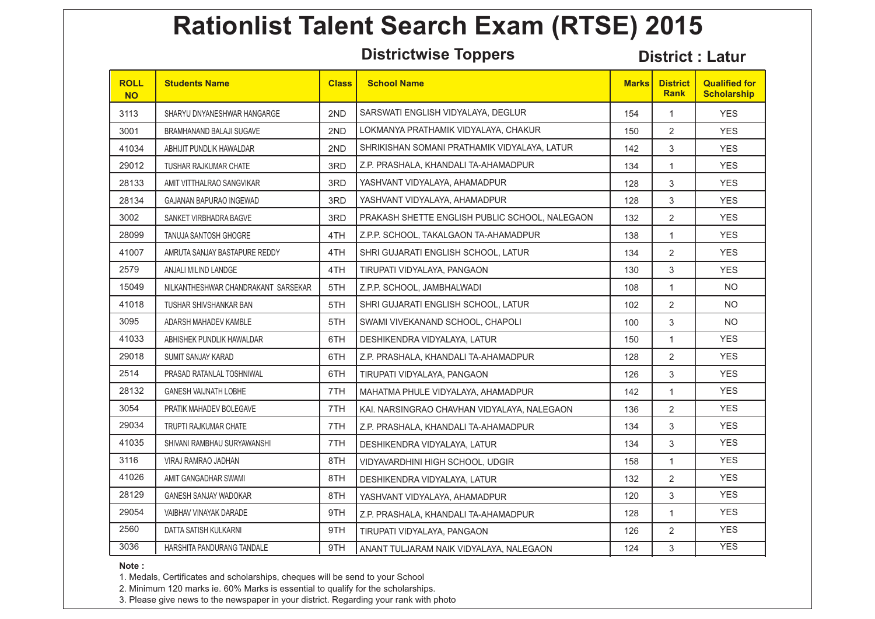**Districtwise Toppers District : Latur** 

| <b>ROLL</b><br><b>NO</b> | <b>Students Name</b>                | <b>Class</b> | <b>School Name</b>                             | <b>Marks</b> | <b>District</b><br><b>Rank</b> | <b>Qualified for</b><br><b>Scholarship</b> |
|--------------------------|-------------------------------------|--------------|------------------------------------------------|--------------|--------------------------------|--------------------------------------------|
| 3113                     | SHARYU DNYANESHWAR HANGARGE         | 2ND          | SARSWATI ENGLISH VIDYALAYA, DEGLUR             | 154          | $\mathbf{1}$                   | <b>YES</b>                                 |
| 3001                     | BRAMHANAND BALAJI SUGAVE            | 2ND          | LOKMANYA PRATHAMIK VIDYALAYA, CHAKUR           | 150          | $\overline{2}$                 | <b>YES</b>                                 |
| 41034                    | ABHIJIT PUNDLIK HAWALDAR            | 2ND          | SHRIKISHAN SOMANI PRATHAMIK VIDYALAYA, LATUR   | 142          | 3                              | <b>YES</b>                                 |
| 29012                    | TUSHAR RAJKUMAR CHATE               | 3RD          | Z.P. PRASHALA, KHANDALI TA-AHAMADPUR           | 134          | $\mathbf{1}$                   | <b>YES</b>                                 |
| 28133                    | AMIT VITTHALRAO SANGVIKAR           | 3RD          | YASHVANT VIDYALAYA, AHAMADPUR                  | 128          | 3                              | <b>YES</b>                                 |
| 28134                    | <b>GAJANAN BAPURAO INGEWAD</b>      | 3RD          | YASHVANT VIDYALAYA, AHAMADPUR                  | 128          | 3                              | <b>YES</b>                                 |
| 3002                     | SANKET VIRBHADRA BAGVE              | 3RD          | PRAKASH SHETTE ENGLISH PUBLIC SCHOOL, NALEGAON | 132          | $\overline{2}$                 | <b>YES</b>                                 |
| 28099                    | <b>TANUJA SANTOSH GHOGRE</b>        | 4TH          | Z.P.P. SCHOOL, TAKALGAON TA-AHAMADPUR          | 138          | $\mathbf{1}$                   | <b>YES</b>                                 |
| 41007                    | AMRUTA SANJAY BASTAPURE REDDY       | 4TH          | SHRI GUJARATI ENGLISH SCHOOL, LATUR            | 134          | 2                              | <b>YES</b>                                 |
| 2579                     | ANJALI MILIND LANDGE                | 4TH          | TIRUPATI VIDYALAYA, PANGAON                    | 130          | 3                              | <b>YES</b>                                 |
| 15049                    | NILKANTHESHWAR CHANDRAKANT SARSEKAR | 5TH          | Z.P.P. SCHOOL, JAMBHALWADI                     | 108          | $\mathbf{1}$                   | <b>NO</b>                                  |
| 41018                    | TUSHAR SHIVSHANKAR BAN              | 5TH          | SHRI GUJARATI ENGLISH SCHOOL, LATUR            | 102          | 2                              | <b>NO</b>                                  |
| 3095                     | ADARSH MAHADEV KAMBLE               | 5TH          | SWAMI VIVEKANAND SCHOOL, CHAPOLI               | 100          | 3                              | <b>NO</b>                                  |
| 41033                    | ABHISHEK PUNDLIK HAWALDAR           | 6TH          | DESHIKENDRA VIDYALAYA, LATUR                   | 150          | $\mathbf{1}$                   | <b>YES</b>                                 |
| 29018                    | SUMIT SANJAY KARAD                  | 6TH          | Z.P. PRASHALA, KHANDALI TA-AHAMADPUR           | 128          | 2                              | <b>YES</b>                                 |
| 2514                     | PRASAD RATANLAL TOSHNIWAL           | 6TH          | TIRUPATI VIDYALAYA, PANGAON                    | 126          | 3                              | <b>YES</b>                                 |
| 28132                    | <b>GANESH VAIJNATH LOBHE</b>        | 7TH          | MAHATMA PHULE VIDYALAYA, AHAMADPUR             | 142          | $\mathbf{1}$                   | <b>YES</b>                                 |
| 3054                     | PRATIK MAHADEV BOLEGAVE             | 7TH          | KAI. NARSINGRAO CHAVHAN VIDYALAYA, NALEGAON    | 136          | 2                              | <b>YES</b>                                 |
| 29034                    | <b>TRUPTI RAJKUMAR CHATE</b>        | 7TH          | Z.P. PRASHALA, KHANDALI TA-AHAMADPUR           | 134          | 3                              | <b>YES</b>                                 |
| 41035                    | SHIVANI RAMBHAU SURYAWANSHI         | 7TH          | DESHIKENDRA VIDYALAYA, LATUR                   | 134          | 3                              | <b>YES</b>                                 |
| 3116                     | VIRAJ RAMRAO JADHAN                 | 8TH          | VIDYAVARDHINI HIGH SCHOOL, UDGIR               | 158          | $\mathbf{1}$                   | <b>YES</b>                                 |
| 41026                    | AMIT GANGADHAR SWAMI                | 8TH          | DESHIKENDRA VIDYALAYA, LATUR                   | 132          | 2                              | <b>YES</b>                                 |
| 28129                    | <b>GANESH SANJAY WADOKAR</b>        | 8TH          | YASHVANT VIDYALAYA, AHAMADPUR                  | 120          | 3                              | <b>YES</b>                                 |
| 29054                    | VAIBHAV VINAYAK DARADE              | 9TH          | Z.P. PRASHALA, KHANDALI TA-AHAMADPUR           | 128          | $\mathbf{1}$                   | <b>YES</b>                                 |
| 2560                     | DATTA SATISH KULKARNI               | 9TH          | TIRUPATI VIDYALAYA, PANGAON                    | 126          | $\overline{2}$                 | <b>YES</b>                                 |
| 3036                     | HARSHITA PANDURANG TANDALE          | 9TH          | ANANT TULJARAM NAIK VIDYALAYA, NALEGAON        | 124          | 3                              | <b>YES</b>                                 |

**Note :** 

1. Medals, Certificates and scholarships, cheques will be send to your School

2. Minimum 120 marks ie. 60% Marks is essential to qualify for the scholarships.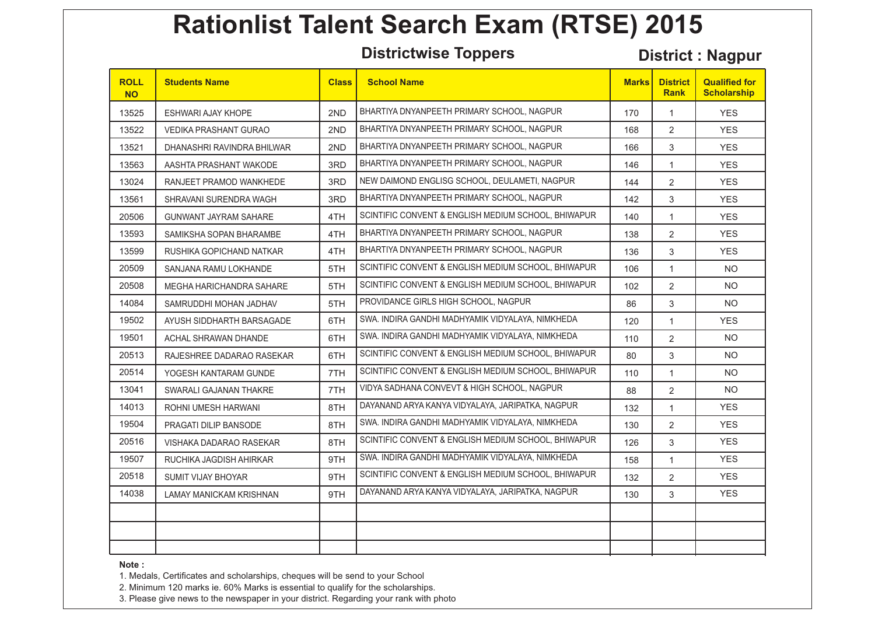**Districtwise Toppers District : Nagpur**

| <b>ROLL</b><br><b>NO</b> | <b>Students Name</b>         | <b>Class</b> | <b>School Name</b>                                  | <b>Marks</b> | <b>District</b><br><b>Rank</b> | <b>Qualified for</b><br><b>Scholarship</b> |
|--------------------------|------------------------------|--------------|-----------------------------------------------------|--------------|--------------------------------|--------------------------------------------|
| 13525                    | <b>ESHWARI AJAY KHOPE</b>    | 2ND          | BHARTIYA DNYANPEETH PRIMARY SCHOOL, NAGPUR          | 170          | $\mathbf{1}$                   | <b>YES</b>                                 |
| 13522                    | VEDIKA PRASHANT GURAO        | 2ND          | BHARTIYA DNYANPEETH PRIMARY SCHOOL, NAGPUR          | 168          | $\overline{2}$                 | <b>YES</b>                                 |
| 13521                    | DHANASHRI RAVINDRA BHILWAR   | 2ND          | BHARTIYA DNYANPEETH PRIMARY SCHOOL, NAGPUR          | 166          | 3                              | <b>YES</b>                                 |
| 13563                    | AASHTA PRASHANT WAKODE       | 3RD          | BHARTIYA DNYANPEETH PRIMARY SCHOOL, NAGPUR          | 146          | $\mathbf{1}$                   | <b>YES</b>                                 |
| 13024                    | RANJEET PRAMOD WANKHEDE      | 3RD          | NEW DAIMOND ENGLISG SCHOOL, DEULAMETI, NAGPUR       | 144          | 2                              | <b>YES</b>                                 |
| 13561                    | SHRAVANI SURENDRA WAGH       | 3RD          | BHARTIYA DNYANPEETH PRIMARY SCHOOL, NAGPUR          | 142          | 3                              | <b>YES</b>                                 |
| 20506                    | <b>GUNWANT JAYRAM SAHARE</b> | 4TH          | SCINTIFIC CONVENT & ENGLISH MEDIUM SCHOOL, BHIWAPUR | 140          | $\mathbf{1}$                   | <b>YES</b>                                 |
| 13593                    | SAMIKSHA SOPAN BHARAMBE      | 4TH          | BHARTIYA DNYANPEETH PRIMARY SCHOOL, NAGPUR          | 138          | 2                              | <b>YES</b>                                 |
| 13599                    | RUSHIKA GOPICHAND NATKAR     | 4TH          | BHARTIYA DNYANPEETH PRIMARY SCHOOL, NAGPUR          | 136          | 3                              | <b>YES</b>                                 |
| 20509                    | SANJANA RAMU LOKHANDE        | 5TH          | SCINTIFIC CONVENT & ENGLISH MEDIUM SCHOOL, BHIWAPUR | 106          | $\mathbf{1}$                   | <b>NO</b>                                  |
| 20508                    | MEGHA HARICHANDRA SAHARE     | 5TH          | SCINTIFIC CONVENT & ENGLISH MEDIUM SCHOOL, BHIWAPUR | 102          | 2                              | <b>NO</b>                                  |
| 14084                    | SAMRUDDHI MOHAN JADHAV       | 5TH          | PROVIDANCE GIRLS HIGH SCHOOL, NAGPUR                | 86           | 3                              | <b>NO</b>                                  |
| 19502                    | AYUSH SIDDHARTH BARSAGADE    | 6TH          | SWA. INDIRA GANDHI MADHYAMIK VIDYALAYA, NIMKHEDA    | 120          | $\mathbf{1}$                   | <b>YES</b>                                 |
| 19501                    | ACHAL SHRAWAN DHANDE         | 6TH          | SWA. INDIRA GANDHI MADHYAMIK VIDYALAYA, NIMKHEDA    | 110          | 2                              | <b>NO</b>                                  |
| 20513                    | RAJESHREE DADARAO RASEKAR    | 6TH          | SCINTIFIC CONVENT & ENGLISH MEDIUM SCHOOL, BHIWAPUR | 80           | 3                              | NO.                                        |
| 20514                    | YOGESH KANTARAM GUNDE        | 7TH          | SCINTIFIC CONVENT & ENGLISH MEDIUM SCHOOL, BHIWAPUR | 110          | $\mathbf{1}$                   | <b>NO</b>                                  |
| 13041                    | SWARALI GAJANAN THAKRE       | 7TH          | VIDYA SADHANA CONVEVT & HIGH SCHOOL, NAGPUR         | 88           | 2                              | <b>NO</b>                                  |
| 14013                    | ROHNI UMESH HARWANI          | 8TH          | DAYANAND ARYA KANYA VIDYALAYA, JARIPATKA, NAGPUR    | 132          | $\mathbf{1}$                   | <b>YES</b>                                 |
| 19504                    | PRAGATI DILIP BANSODE        | 8TH          | SWA. INDIRA GANDHI MADHYAMIK VIDYALAYA, NIMKHEDA    | 130          | $\overline{2}$                 | <b>YES</b>                                 |
| 20516                    | VISHAKA DADARAO RASEKAR      | 8TH          | SCINTIFIC CONVENT & ENGLISH MEDIUM SCHOOL, BHIWAPUR | 126          | 3                              | <b>YES</b>                                 |
| 19507                    | RUCHIKA JAGDISH AHIRKAR      | 9TH          | SWA. INDIRA GANDHI MADHYAMIK VIDYALAYA, NIMKHEDA    | 158          | $\mathbf{1}$                   | <b>YES</b>                                 |
| 20518                    | SUMIT VIJAY BHOYAR           | 9TH          | SCINTIFIC CONVENT & ENGLISH MEDIUM SCHOOL, BHIWAPUR | 132          | 2                              | <b>YES</b>                                 |
| 14038                    | LAMAY MANICKAM KRISHNAN      | 9TH          | DAYANAND ARYA KANYA VIDYALAYA, JARIPATKA, NAGPUR    | 130          | 3                              | <b>YES</b>                                 |
|                          |                              |              |                                                     |              |                                |                                            |
|                          |                              |              |                                                     |              |                                |                                            |
|                          |                              |              |                                                     |              |                                |                                            |

**Note :** 

1. Medals, Certificates and scholarships, cheques will be send to your School

2. Minimum 120 marks ie. 60% Marks is essential to qualify for the scholarships.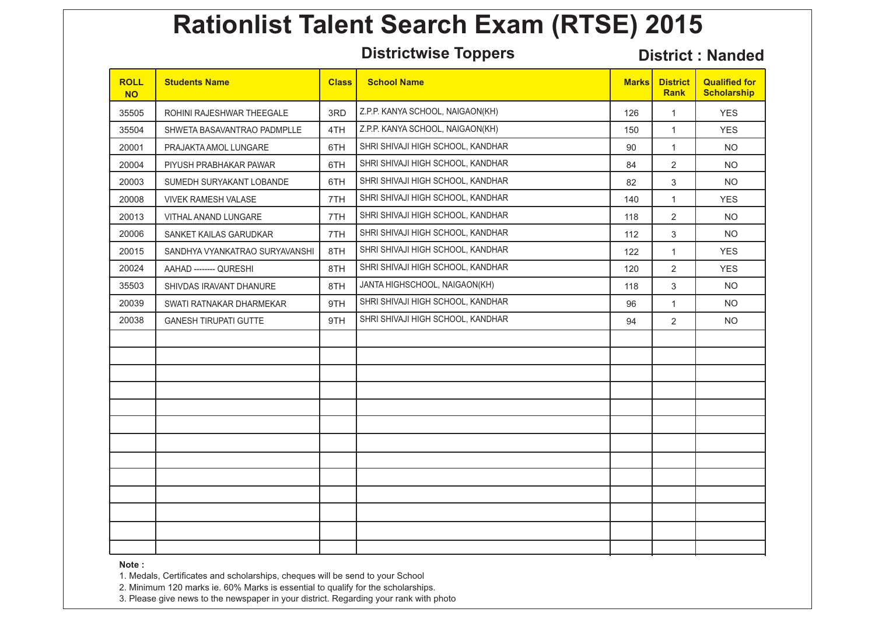**Districtwise Toppers District : Nanded** 

| <b>ROLL</b><br><b>NO</b> | <b>Students Name</b>           | <b>Class</b> | <b>School Name</b>                | <b>Marks</b> | <b>District</b><br><b>Rank</b> | <b>Qualified for</b><br><b>Scholarship</b> |
|--------------------------|--------------------------------|--------------|-----------------------------------|--------------|--------------------------------|--------------------------------------------|
| 35505                    | ROHINI RAJESHWAR THEEGALE      | 3RD          | Z.P.P. KANYA SCHOOL, NAIGAON(KH)  | 126          | $\mathbf{1}$                   | <b>YES</b>                                 |
| 35504                    | SHWETA BASAVANTRAO PADMPLLE    | 4TH          | Z.P.P. KANYA SCHOOL, NAIGAON(KH)  | 150          | $\mathbf{1}$                   | <b>YES</b>                                 |
| 20001                    | PRAJAKTA AMOL LUNGARE          | 6TH          | SHRI SHIVAJI HIGH SCHOOL, KANDHAR | 90           | $\mathbf{1}$                   | NO.                                        |
| 20004                    | PIYUSH PRABHAKAR PAWAR         | 6TH          | SHRI SHIVAJI HIGH SCHOOL, KANDHAR | 84           | $\overline{2}$                 | <b>NO</b>                                  |
| 20003                    | SUMEDH SURYAKANT LOBANDE       | 6TH          | SHRI SHIVAJI HIGH SCHOOL, KANDHAR | 82           | 3                              | <b>NO</b>                                  |
| 20008                    | <b>VIVEK RAMESH VALASE</b>     | 7TH          | SHRI SHIVAJI HIGH SCHOOL, KANDHAR | 140          | 1                              | <b>YES</b>                                 |
| 20013                    | VITHAL ANAND LUNGARE           | 7TH          | SHRI SHIVAJI HIGH SCHOOL, KANDHAR | 118          | $\overline{2}$                 | <b>NO</b>                                  |
| 20006                    | SANKET KAILAS GARUDKAR         | 7TH          | SHRI SHIVAJI HIGH SCHOOL, KANDHAR | 112          | 3                              | <b>NO</b>                                  |
| 20015                    | SANDHYA VYANKATRAO SURYAVANSHI | 8TH          | SHRI SHIVAJI HIGH SCHOOL, KANDHAR | 122          | $\mathbf{1}$                   | <b>YES</b>                                 |
| 20024                    | AAHAD -------- QURESHI         | 8TH          | SHRI SHIVAJI HIGH SCHOOL, KANDHAR | 120          | $\overline{2}$                 | <b>YES</b>                                 |
| 35503                    | SHIVDAS IRAVANT DHANURE        | 8TH          | JANTA HIGHSCHOOL, NAIGAON(KH)     | 118          | 3                              | <b>NO</b>                                  |
| 20039                    | SWATI RATNAKAR DHARMEKAR       | 9TH          | SHRI SHIVAJI HIGH SCHOOL, KANDHAR | 96           | $\mathbf{1}$                   | NO.                                        |
| 20038                    | <b>GANESH TIRUPATI GUTTE</b>   | 9TH          | SHRI SHIVAJI HIGH SCHOOL, KANDHAR | 94           | $\overline{2}$                 | <b>NO</b>                                  |
|                          |                                |              |                                   |              |                                |                                            |
|                          |                                |              |                                   |              |                                |                                            |
|                          |                                |              |                                   |              |                                |                                            |
|                          |                                |              |                                   |              |                                |                                            |
|                          |                                |              |                                   |              |                                |                                            |
|                          |                                |              |                                   |              |                                |                                            |
|                          |                                |              |                                   |              |                                |                                            |
|                          |                                |              |                                   |              |                                |                                            |
|                          |                                |              |                                   |              |                                |                                            |
|                          |                                |              |                                   |              |                                |                                            |
|                          |                                |              |                                   |              |                                |                                            |
|                          |                                |              |                                   |              |                                |                                            |
|                          |                                |              |                                   |              |                                |                                            |

**Note :** 

1. Medals, Certificates and scholarships, cheques will be send to your School

2. Minimum 120 marks ie. 60% Marks is essential to qualify for the scholarships.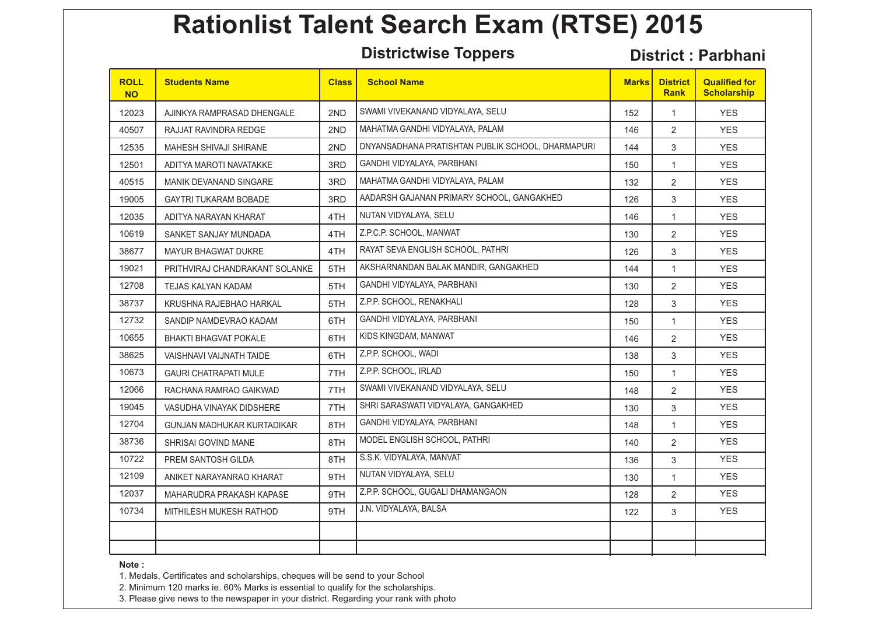**Districtwise Toppers District : Parbhani**

| <b>ROLL</b><br><b>NO</b> | <b>Students Name</b>              | <b>Class</b> | <b>School Name</b>                                | <b>Marks</b> | <b>District</b><br><b>Rank</b> | <b>Qualified for</b><br><b>Scholarship</b> |
|--------------------------|-----------------------------------|--------------|---------------------------------------------------|--------------|--------------------------------|--------------------------------------------|
| 12023                    | AJINKYA RAMPRASAD DHENGALE        | 2ND          | SWAMI VIVEKANAND VIDYALAYA, SELU                  | 152          | $\mathbf{1}$                   | <b>YES</b>                                 |
| 40507                    | RAJJAT RAVINDRA REDGE             | 2ND          | MAHATMA GANDHI VIDYALAYA, PALAM                   | 146          | 2                              | <b>YES</b>                                 |
| 12535                    | <b>MAHESH SHIVAJI SHIRANE</b>     | 2ND          | DNYANSADHANA PRATISHTAN PUBLIK SCHOOL, DHARMAPURI | 144          | $\mathfrak{S}$                 | <b>YES</b>                                 |
| 12501                    | ADITYA MAROTI NAVATAKKE           | 3RD          | GANDHI VIDYALAYA, PARBHANI                        | 150          | $\mathbf{1}$                   | <b>YES</b>                                 |
| 40515                    | <b>MANIK DEVANAND SINGARE</b>     | 3RD          | MAHATMA GANDHI VIDYALAYA, PALAM                   | 132          | 2                              | <b>YES</b>                                 |
| 19005                    | <b>GAYTRI TUKARAM BOBADE</b>      | 3RD          | AADARSH GAJANAN PRIMARY SCHOOL, GANGAKHED         | 126          | $\mathfrak{S}$                 | <b>YES</b>                                 |
| 12035                    | ADITYA NARAYAN KHARAT             | 4TH          | NUTAN VIDYALAYA, SELU                             | 146          | $\mathbf{1}$                   | <b>YES</b>                                 |
| 10619                    | SANKET SANJAY MUNDADA             | 4TH          | Z.P.C.P. SCHOOL, MANWAT                           | 130          | $\overline{2}$                 | <b>YES</b>                                 |
| 38677                    | <b>MAYUR BHAGWAT DUKRE</b>        | 4TH          | RAYAT SEVA ENGLISH SCHOOL, PATHRI                 | 126          | 3                              | <b>YES</b>                                 |
| 19021                    | PRITHVIRAJ CHANDRAKANT SOLANKE    | 5TH          | AKSHARNANDAN BALAK MANDIR, GANGAKHED              | 144          | $\mathbf{1}$                   | <b>YES</b>                                 |
| 12708                    | TEJAS KALYAN KADAM                | 5TH          | GANDHI VIDYALAYA, PARBHANI                        | 130          | 2                              | <b>YES</b>                                 |
| 38737                    | KRUSHNA RAJEBHAO HARKAL           | 5TH          | Z.P.P. SCHOOL, RENAKHALI                          | 128          | 3                              | <b>YES</b>                                 |
| 12732                    | SANDIP NAMDEVRAO KADAM            | 6TH          | GANDHI VIDYALAYA, PARBHANI                        | 150          | $\mathbf{1}$                   | <b>YES</b>                                 |
| 10655                    | BHAKTI BHAGVAT POKALE             | 6TH          | KIDS KINGDAM, MANWAT                              | 146          | $\overline{2}$                 | <b>YES</b>                                 |
| 38625                    | VAISHNAVI VAIJNATH TAIDE          | 6TH          | Z.P.P. SCHOOL, WADI                               | 138          | 3                              | <b>YES</b>                                 |
| 10673                    | <b>GAURI CHATRAPATI MULE</b>      | 7TH          | Z.P.P. SCHOOL, IRLAD                              | 150          | $\mathbf{1}$                   | <b>YES</b>                                 |
| 12066                    | RACHANA RAMRAO GAIKWAD            | 7TH          | SWAMI VIVEKANAND VIDYALAYA, SELU                  | 148          | 2                              | <b>YES</b>                                 |
| 19045                    | VASUDHA VINAYAK DIDSHERE          | 7TH          | SHRI SARASWATI VIDYALAYA, GANGAKHED               | 130          | 3                              | <b>YES</b>                                 |
| 12704                    | <b>GUNJAN MADHUKAR KURTADIKAR</b> | 8TH          | GANDHI VIDYALAYA, PARBHANI                        | 148          | $\mathbf{1}$                   | <b>YES</b>                                 |
| 38736                    | SHRISAI GOVIND MANE               | 8TH          | MODEL ENGLISH SCHOOL, PATHRI                      | 140          | 2                              | <b>YES</b>                                 |
| 10722                    | PREM SANTOSH GILDA                | 8TH          | S.S.K. VIDYALAYA, MANVAT                          | 136          | 3                              | <b>YES</b>                                 |
| 12109                    | ANIKET NARAYANRAO KHARAT          | 9TH          | NUTAN VIDYALAYA, SELU                             | 130          | $\mathbf{1}$                   | <b>YES</b>                                 |
| 12037                    | MAHARUDRA PRAKASH KAPASE          | 9TH          | Z.P.P. SCHOOL, GUGALI DHAMANGAON                  | 128          | 2                              | <b>YES</b>                                 |
| 10734                    | MITHILESH MUKESH RATHOD           | 9TH          | J.N. VIDYALAYA, BALSA                             | 122          | 3                              | <b>YES</b>                                 |
|                          |                                   |              |                                                   |              |                                |                                            |
|                          |                                   |              |                                                   |              |                                |                                            |

**Note :** 

1. Medals, Certificates and scholarships, cheques will be send to your School

2. Minimum 120 marks ie. 60% Marks is essential to qualify for the scholarships.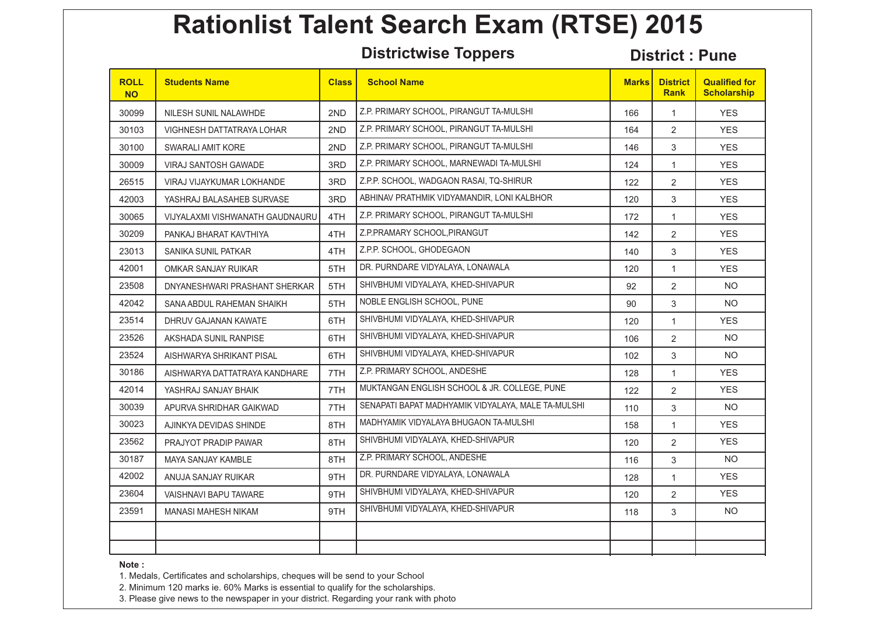**Districtwise Toppers District : Pune**

| <b>ROLL</b><br><b>NO</b> | <b>Students Name</b>            | <b>Class</b> | <b>School Name</b>                                 | <b>Marks</b> | <b>District</b><br><b>Rank</b> | <b>Qualified for</b><br><b>Scholarship</b> |
|--------------------------|---------------------------------|--------------|----------------------------------------------------|--------------|--------------------------------|--------------------------------------------|
| 30099                    | NILESH SUNIL NALAWHDE           | 2ND          | Z.P. PRIMARY SCHOOL, PIRANGUT TA-MULSHI            | 166          | $\mathbf{1}$                   | <b>YES</b>                                 |
| 30103                    | VIGHNESH DATTATRAYA LOHAR       | 2ND          | Z.P. PRIMARY SCHOOL, PIRANGUT TA-MULSHI            | 164          | $\overline{2}$                 | <b>YES</b>                                 |
| 30100                    | SWARALI AMIT KORE               | 2ND          | Z.P. PRIMARY SCHOOL, PIRANGUT TA-MULSHI            | 146          | 3                              | <b>YES</b>                                 |
| 30009                    | <b>VIRAJ SANTOSH GAWADE</b>     | 3RD          | Z.P. PRIMARY SCHOOL, MARNEWADI TA-MULSHI           | 124          | $\mathbf{1}$                   | <b>YES</b>                                 |
| 26515                    | VIRAJ VIJAYKUMAR LOKHANDE       | 3RD          | Z.P.P. SCHOOL, WADGAON RASAI, TQ-SHIRUR            | 122          | 2                              | <b>YES</b>                                 |
| 42003                    | YASHRAJ BALASAHEB SURVASE       | 3RD          | ABHINAV PRATHMIK VIDYAMANDIR, LONI KALBHOR         | 120          | 3                              | <b>YES</b>                                 |
| 30065                    | VIJYALAXMI VISHWANATH GAUDNAURU | 4TH          | Z.P. PRIMARY SCHOOL, PIRANGUT TA-MULSHI            | 172          | $\mathbf{1}$                   | <b>YES</b>                                 |
| 30209                    | PANKAJ BHARAT KAVTHIYA          | 4TH          | Z.P.PRAMARY SCHOOL, PIRANGUT                       | 142          | 2                              | <b>YES</b>                                 |
| 23013                    | SANIKA SUNIL PATKAR             | 4TH          | Z.P.P. SCHOOL, GHODEGAON                           | 140          | 3                              | <b>YES</b>                                 |
| 42001                    | OMKAR SANJAY RUIKAR             | 5TH          | DR. PURNDARE VIDYALAYA, LONAWALA                   | 120          | $\mathbf{1}$                   | <b>YES</b>                                 |
| 23508                    | DNYANESHWARI PRASHANT SHERKAR   | 5TH          | SHIVBHUMI VIDYALAYA, KHED-SHIVAPUR                 | 92           | 2                              | <b>NO</b>                                  |
| 42042                    | SANA ABDUL RAHEMAN SHAIKH       | 5TH          | NOBLE ENGLISH SCHOOL, PUNE                         | 90           | 3                              | NO.                                        |
| 23514                    | DHRUV GAJANAN KAWATE            | 6TH          | SHIVBHUMI VIDYALAYA, KHED-SHIVAPUR                 | 120          | $\mathbf{1}$                   | <b>YES</b>                                 |
| 23526                    | AKSHADA SUNIL RANPISE           | 6TH          | SHIVBHUMI VIDYALAYA, KHED-SHIVAPUR                 | 106          | 2                              | <b>NO</b>                                  |
| 23524                    | AISHWARYA SHRIKANT PISAL        | 6TH          | SHIVBHUMI VIDYALAYA, KHED-SHIVAPUR                 | 102          | 3                              | NO.                                        |
| 30186                    | AISHWARYA DATTATRAYA KANDHARE   | 7TH          | Z.P. PRIMARY SCHOOL, ANDESHE                       | 128          | $\mathbf{1}$                   | <b>YES</b>                                 |
| 42014                    | YASHRAJ SANJAY BHAIK            | 7TH          | MUKTANGAN ENGLISH SCHOOL & JR. COLLEGE, PUNE       | 122          | 2                              | <b>YES</b>                                 |
| 30039                    | APURVA SHRIDHAR GAIKWAD         | 7TH          | SENAPATI BAPAT MADHYAMIK VIDYALAYA, MALE TA-MULSHI | 110          | 3                              | <b>NO</b>                                  |
| 30023                    | AJINKYA DEVIDAS SHINDE          | 8TH          | MADHYAMIK VIDYALAYA BHUGAON TA-MULSHI              | 158          | $\mathbf{1}$                   | <b>YES</b>                                 |
| 23562                    | PRAJYOT PRADIP PAWAR            | 8TH          | SHIVBHUMI VIDYALAYA, KHED-SHIVAPUR                 | 120          | 2                              | <b>YES</b>                                 |
| 30187                    | <b>MAYA SANJAY KAMBLE</b>       | 8TH          | Z.P. PRIMARY SCHOOL, ANDESHE                       | 116          | 3                              | NO.                                        |
| 42002                    | ANUJA SANJAY RUIKAR             | 9TH          | DR. PURNDARE VIDYALAYA, LONAWALA                   | 128          | $\mathbf{1}$                   | <b>YES</b>                                 |
| 23604                    | VAISHNAVI BAPU TAWARE           | 9TH          | SHIVBHUMI VIDYALAYA, KHED-SHIVAPUR                 | 120          | 2                              | <b>YES</b>                                 |
| 23591                    | <b>MANASI MAHESH NIKAM</b>      | 9TH          | SHIVBHUMI VIDYALAYA, KHED-SHIVAPUR                 | 118          | 3                              | NO.                                        |
|                          |                                 |              |                                                    |              |                                |                                            |
|                          |                                 |              |                                                    |              |                                |                                            |

**Note :** 

1. Medals, Certificates and scholarships, cheques will be send to your School

2. Minimum 120 marks ie. 60% Marks is essential to qualify for the scholarships.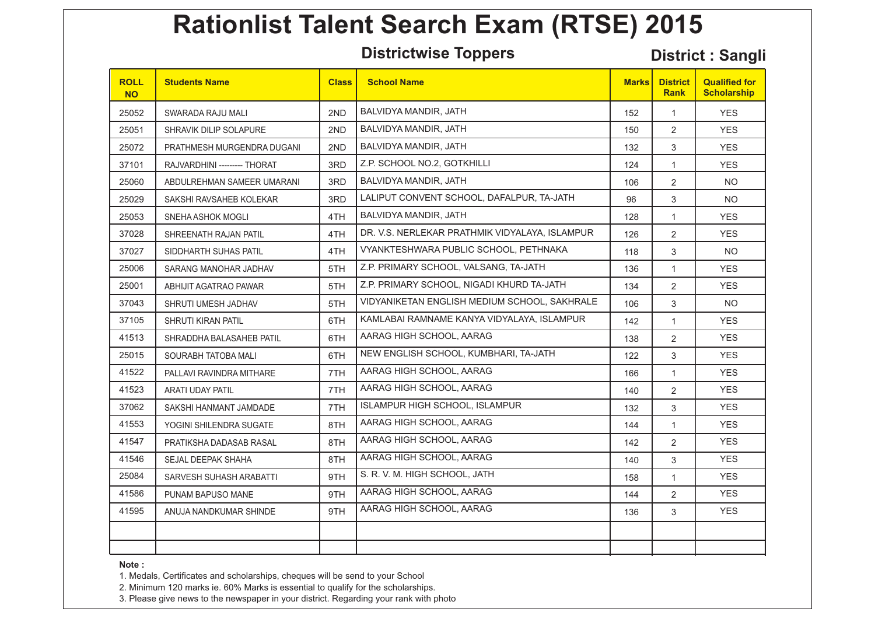**Districtwise Toppers District : Sangli**

| <b>ROLL</b><br><b>NO</b> | <b>Students Name</b>        | <b>Class</b> | <b>School Name</b>                             | <b>Marks</b> | <b>District</b><br><b>Rank</b> | <b>Qualified for</b><br><b>Scholarship</b> |
|--------------------------|-----------------------------|--------------|------------------------------------------------|--------------|--------------------------------|--------------------------------------------|
| 25052                    | SWARADA RAJU MALI           | 2ND          | BALVIDYA MANDIR, JATH                          | 152          | $\mathbf{1}$                   | <b>YES</b>                                 |
| 25051                    | SHRAVIK DILIP SOLAPURE      | 2ND          | BALVIDYA MANDIR, JATH                          | 150          | $\overline{2}$                 | <b>YES</b>                                 |
| 25072                    | PRATHMESH MURGENDRA DUGANI  | 2ND          | BALVIDYA MANDIR, JATH                          | 132          | 3                              | <b>YES</b>                                 |
| 37101                    | RAJVARDHINI -------- THORAT | 3RD          | Z.P. SCHOOL NO.2. GOTKHILLI                    | 124          | $\mathbf{1}$                   | <b>YES</b>                                 |
| 25060                    | ABDULREHMAN SAMEER UMARANI  | 3RD          | BALVIDYA MANDIR, JATH                          | 106          | $\overline{2}$                 | <b>NO</b>                                  |
| 25029                    | SAKSHI RAVSAHEB KOLEKAR     | 3RD          | LALIPUT CONVENT SCHOOL, DAFALPUR, TA-JATH      | 96           | 3                              | <b>NO</b>                                  |
| 25053                    | SNEHA ASHOK MOGLI           | 4TH          | BALVIDYA MANDIR, JATH                          | 128          | $\mathbf{1}$                   | <b>YES</b>                                 |
| 37028                    | SHREENATH RAJAN PATIL       | 4TH          | DR. V.S. NERLEKAR PRATHMIK VIDYALAYA, ISLAMPUR | 126          | $\overline{2}$                 | YES.                                       |
| 37027                    | SIDDHARTH SUHAS PATIL       | 4TH          | VYANKTESHWARA PUBLIC SCHOOL, PETHNAKA          | 118          | 3                              | <b>NO</b>                                  |
| 25006                    | SARANG MANOHAR JADHAV       | 5TH          | Z.P. PRIMARY SCHOOL, VALSANG, TA-JATH          | 136          | $\mathbf{1}$                   | <b>YES</b>                                 |
| 25001                    | ABHIJIT AGATRAO PAWAR       | 5TH          | Z.P. PRIMARY SCHOOL. NIGADI KHURD TA-JATH      | 134          | $\overline{2}$                 | YES.                                       |
| 37043                    | SHRUTI UMESH JADHAV         | 5TH          | VIDYANIKETAN ENGLISH MEDIUM SCHOOL, SAKHRALE   | 106          | 3                              | <b>NO</b>                                  |
| 37105                    | SHRUTI KIRAN PATIL          | 6TH          | KAMLABAI RAMNAME KANYA VIDYALAYA, ISLAMPUR     | 142          | $\mathbf{1}$                   | <b>YES</b>                                 |
| 41513                    | SHRADDHA BALASAHEB PATIL    | 6TH          | AARAG HIGH SCHOOL, AARAG                       | 138          | $\overline{2}$                 | <b>YES</b>                                 |
| 25015                    | SOURABH TATOBA MALI         | 6TH          | NEW ENGLISH SCHOOL, KUMBHARI, TA-JATH          | 122          | 3                              | YES.                                       |
| 41522                    | PALLAVI RAVINDRA MITHARE    | 7TH          | AARAG HIGH SCHOOL, AARAG                       | 166          | $\mathbf{1}$                   | <b>YES</b>                                 |
| 41523                    | ARATI UDAY PATIL            | 7TH          | AARAG HIGH SCHOOL, AARAG                       | 140          | $\overline{2}$                 | <b>YES</b>                                 |
| 37062                    | SAKSHI HANMANT JAMDADE      | 7TH          | ISLAMPUR HIGH SCHOOL, ISLAMPUR                 | 132          | 3                              | YES.                                       |
| 41553                    | YOGINI SHILENDRA SUGATE     | 8TH          | AARAG HIGH SCHOOL, AARAG                       | 144          | $\mathbf{1}$                   | <b>YES</b>                                 |
| 41547                    | PRATIKSHA DADASAB RASAL     | 8TH          | AARAG HIGH SCHOOL, AARAG                       | 142          | $\overline{2}$                 | <b>YES</b>                                 |
| 41546                    | SEJAL DEEPAK SHAHA          | 8TH          | AARAG HIGH SCHOOL, AARAG                       | 140          | 3                              | <b>YES</b>                                 |
| 25084                    | SARVESH SUHASH ARABATTI     | 9TH          | S. R. V. M. HIGH SCHOOL, JATH                  | 158          | $\mathbf{1}$                   | <b>YES</b>                                 |
| 41586                    | PUNAM BAPUSO MANE           | 9TH          | AARAG HIGH SCHOOL, AARAG                       | 144          | $\overline{2}$                 | <b>YES</b>                                 |
| 41595                    | ANUJA NANDKUMAR SHINDE      | 9TH          | AARAG HIGH SCHOOL, AARAG                       | 136          | 3                              | <b>YES</b>                                 |
|                          |                             |              |                                                |              |                                |                                            |
|                          |                             |              |                                                |              |                                |                                            |

**Note :** 

1. Medals, Certificates and scholarships, cheques will be send to your School

2. Minimum 120 marks ie. 60% Marks is essential to qualify for the scholarships.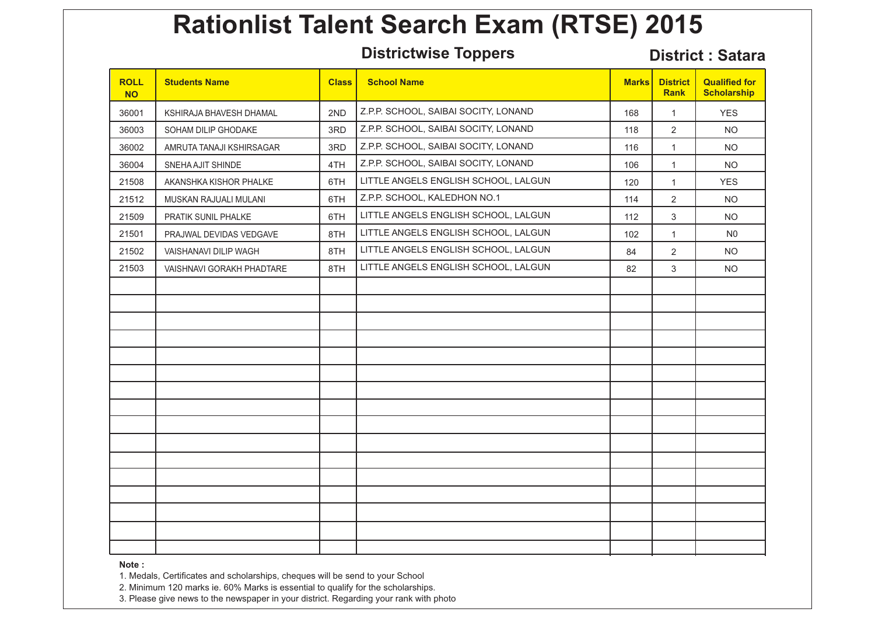**Districtwise Toppers District : Satara**

| <b>ROLL</b><br><b>NO</b> | <b>Students Name</b>      | <b>Class</b> | <b>School Name</b>                   | <b>Marks</b> | <b>District</b><br><b>Rank</b> | <b>Qualified for</b><br><b>Scholarship</b> |
|--------------------------|---------------------------|--------------|--------------------------------------|--------------|--------------------------------|--------------------------------------------|
| 36001                    | KSHIRAJA BHAVESH DHAMAL   | 2ND          | Z.P.P. SCHOOL, SAIBAI SOCITY, LONAND | 168          | 1                              | <b>YES</b>                                 |
| 36003                    | SOHAM DILIP GHODAKE       | 3RD          | Z.P.P. SCHOOL, SAIBAI SOCITY, LONAND | 118          | $\overline{2}$                 | <b>NO</b>                                  |
| 36002                    | AMRUTA TANAJI KSHIRSAGAR  | 3RD          | Z.P.P. SCHOOL, SAIBAI SOCITY, LONAND | 116          | $\mathbf{1}$                   | NO.                                        |
| 36004                    | SNEHA AJIT SHINDE         | 4TH          | Z.P.P. SCHOOL, SAIBAI SOCITY, LONAND | 106          | $\mathbf{1}$                   | <b>NO</b>                                  |
| 21508                    | AKANSHKA KISHOR PHALKE    | 6TH          | LITTLE ANGELS ENGLISH SCHOOL, LALGUN | 120          | $\mathbf{1}$                   | <b>YES</b>                                 |
| 21512                    | MUSKAN RAJUALI MULANI     | 6TH          | Z.P.P. SCHOOL, KALEDHON NO.1         | 114          | $\overline{c}$                 | <b>NO</b>                                  |
| 21509                    | PRATIK SUNIL PHALKE       | 6TH          | LITTLE ANGELS ENGLISH SCHOOL, LALGUN | 112          | 3                              | <b>NO</b>                                  |
| 21501                    | PRAJWAL DEVIDAS VEDGAVE   | 8TH          | LITTLE ANGELS ENGLISH SCHOOL, LALGUN | 102          | $\mathbf{1}$                   | N <sub>0</sub>                             |
| 21502                    | VAISHANAVI DILIP WAGH     | 8TH          | LITTLE ANGELS ENGLISH SCHOOL, LALGUN | 84           | $\overline{2}$                 | NO.                                        |
| 21503                    | VAISHNAVI GORAKH PHADTARE | 8TH          | LITTLE ANGELS ENGLISH SCHOOL, LALGUN | 82           | 3                              | NO.                                        |
|                          |                           |              |                                      |              |                                |                                            |
|                          |                           |              |                                      |              |                                |                                            |
|                          |                           |              |                                      |              |                                |                                            |
|                          |                           |              |                                      |              |                                |                                            |
|                          |                           |              |                                      |              |                                |                                            |
|                          |                           |              |                                      |              |                                |                                            |
|                          |                           |              |                                      |              |                                |                                            |
|                          |                           |              |                                      |              |                                |                                            |
|                          |                           |              |                                      |              |                                |                                            |
|                          |                           |              |                                      |              |                                |                                            |
|                          |                           |              |                                      |              |                                |                                            |
|                          |                           |              |                                      |              |                                |                                            |
|                          |                           |              |                                      |              |                                |                                            |
|                          |                           |              |                                      |              |                                |                                            |
|                          |                           |              |                                      |              |                                |                                            |
|                          |                           |              |                                      |              |                                |                                            |

**Note :** 

1. Medals, Certificates and scholarships, cheques will be send to your School

2. Minimum 120 marks ie. 60% Marks is essential to qualify for the scholarships.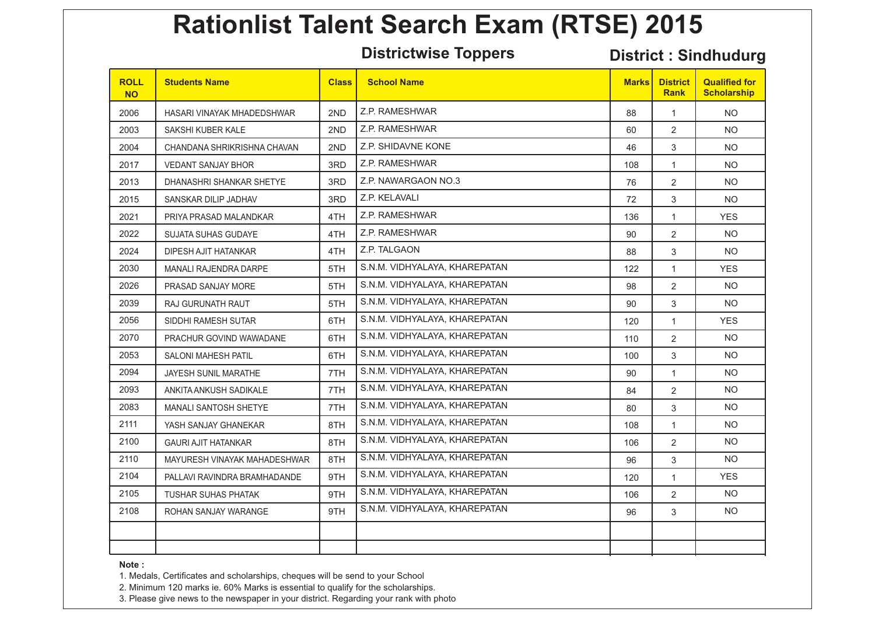**Districtwise Toppers District : Sindhudurg**

| <b>ROLL</b><br><b>NO</b> | <b>Students Name</b>         | <b>Class</b> | <b>School Name</b>            | <b>Marks</b> | <b>District</b><br><b>Rank</b> | <b>Qualified for</b><br><b>Scholarship</b> |
|--------------------------|------------------------------|--------------|-------------------------------|--------------|--------------------------------|--------------------------------------------|
| 2006                     | HASARI VINAYAK MHADEDSHWAR   | 2ND          | Z.P. RAMESHWAR                | 88           | $\mathbf{1}$                   | <b>NO</b>                                  |
| 2003                     | SAKSHI KUBER KALE            | 2ND          | Z.P. RAMESHWAR                | 60           | $\overline{2}$                 | <b>NO</b>                                  |
| 2004                     | CHANDANA SHRIKRISHNA CHAVAN  | 2ND          | Z.P. SHIDAVNE KONE            | 46           | 3                              | <b>NO</b>                                  |
| 2017                     | <b>VEDANT SANJAY BHOR</b>    | 3RD          | Z.P. RAMESHWAR                | 108          | $\mathbf{1}$                   | <b>NO</b>                                  |
| 2013                     | DHANASHRI SHANKAR SHETYE     | 3RD          | Z.P. NAWARGAON NO.3           | 76           | $\overline{2}$                 | <b>NO</b>                                  |
| 2015                     | SANSKAR DILIP JADHAV         | 3RD          | Z.P. KELAVALI                 | 72           | 3                              | NO.                                        |
| 2021                     | PRIYA PRASAD MALANDKAR       | 4TH          | Z.P. RAMESHWAR                | 136          | $\mathbf{1}$                   | <b>YES</b>                                 |
| 2022                     | <b>SUJATA SUHAS GUDAYE</b>   | 4TH          | Z.P. RAMESHWAR                | 90           | $\overline{2}$                 | <b>NO</b>                                  |
| 2024                     | DIPESH AJIT HATANKAR         | 4TH          | Z.P. TALGAON                  | 88           | 3                              | NO.                                        |
| 2030                     | <b>MANALI RAJENDRA DARPE</b> | 5TH          | S.N.M. VIDHYALAYA, KHAREPATAN | 122          | $\mathbf{1}$                   | <b>YES</b>                                 |
| 2026                     | PRASAD SANJAY MORE           | 5TH          | S.N.M. VIDHYALAYA, KHAREPATAN | 98           | $\overline{2}$                 | NO.                                        |
| 2039                     | <b>RAJ GURUNATH RAUT</b>     | 5TH          | S.N.M. VIDHYALAYA, KHAREPATAN | 90           | 3                              | <b>NO</b>                                  |
| 2056                     | SIDDHI RAMESH SUTAR          | 6TH          | S.N.M. VIDHYALAYA, KHAREPATAN | 120          | $\mathbf{1}$                   | <b>YES</b>                                 |
| 2070                     | PRACHUR GOVIND WAWADANE      | 6TH          | S.N.M. VIDHYALAYA, KHAREPATAN | 110          | $\overline{2}$                 | <b>NO</b>                                  |
| 2053                     | <b>SALONI MAHESH PATIL</b>   | 6TH          | S.N.M. VIDHYALAYA, KHAREPATAN | 100          | 3                              | NO.                                        |
| 2094                     | <b>JAYESH SUNIL MARATHE</b>  | 7TH          | S.N.M. VIDHYALAYA, KHAREPATAN | 90           | $\mathbf{1}$                   | NO.                                        |
| 2093                     | ANKITA ANKUSH SADIKALE       | 7TH          | S.N.M. VIDHYALAYA, KHAREPATAN | 84           | $\overline{2}$                 | <b>NO</b>                                  |
| 2083                     | <b>MANALI SANTOSH SHETYE</b> | 7TH          | S.N.M. VIDHYALAYA, KHAREPATAN | 80           | 3                              | NO.                                        |
| 2111                     | YASH SANJAY GHANEKAR         | 8TH          | S.N.M. VIDHYALAYA, KHAREPATAN | 108          | $\mathbf{1}$                   | <b>NO</b>                                  |
| 2100                     | <b>GAURI AJIT HATANKAR</b>   | 8TH          | S.N.M. VIDHYALAYA, KHAREPATAN | 106          | $\overline{2}$                 | NO.                                        |
| 2110                     | MAYURESH VINAYAK MAHADESHWAR | 8TH          | S.N.M. VIDHYALAYA, KHAREPATAN | 96           | 3                              | <b>NO</b>                                  |
| 2104                     | PALLAVI RAVINDRA BRAMHADANDE | 9TH          | S.N.M. VIDHYALAYA, KHAREPATAN | 120          | $\mathbf{1}$                   | <b>YES</b>                                 |
| 2105                     | TUSHAR SUHAS PHATAK          | 9TH          | S.N.M. VIDHYALAYA, KHAREPATAN | 106          | $\overline{2}$                 | <b>NO</b>                                  |
| 2108                     | ROHAN SANJAY WARANGE         | 9TH          | S.N.M. VIDHYALAYA, KHAREPATAN | 96           | 3                              | NO.                                        |
|                          |                              |              |                               |              |                                |                                            |
|                          |                              |              |                               |              |                                |                                            |

**Note :** 

1. Medals, Certificates and scholarships, cheques will be send to your School

2. Minimum 120 marks ie. 60% Marks is essential to qualify for the scholarships.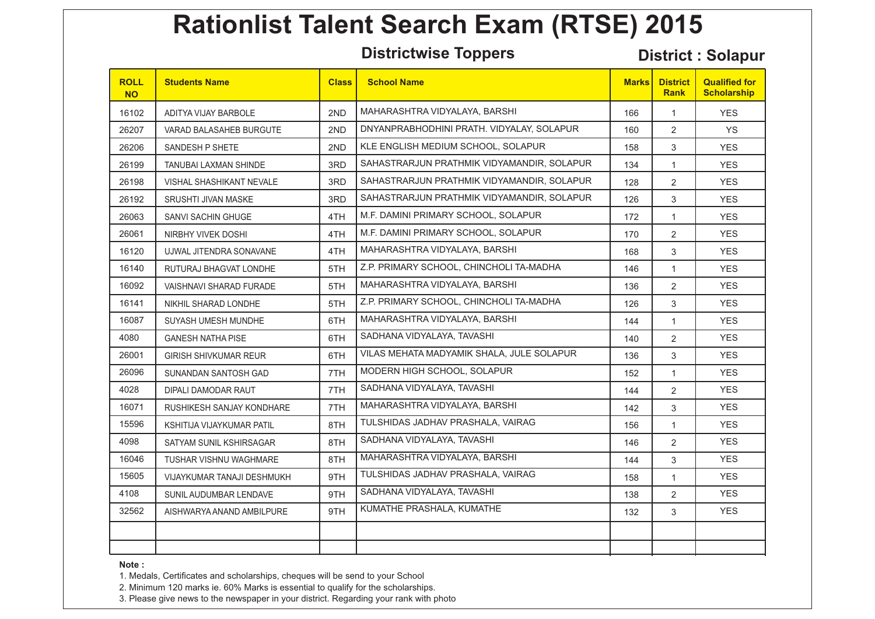**Districtwise Toppers District : Solapur**

| <b>ROLL</b><br><b>NO</b> | <b>Students Name</b>            | <b>Class</b> | <b>School Name</b>                         | <b>Marks</b> | <b>District</b><br><b>Rank</b> | <b>Qualified for</b><br><b>Scholarship</b> |
|--------------------------|---------------------------------|--------------|--------------------------------------------|--------------|--------------------------------|--------------------------------------------|
| 16102                    | ADITYA VIJAY BARBOLE            | 2ND          | MAHARASHTRA VIDYALAYA, BARSHI              | 166          | $\mathbf{1}$                   | <b>YES</b>                                 |
| 26207                    | VARAD BALASAHEB BURGUTE         | 2ND          | DNYANPRABHODHINI PRATH. VIDYALAY, SOLAPUR  | 160          | $\overline{2}$                 | <b>YS</b>                                  |
| 26206                    | SANDESH P SHETE                 | 2ND          | KLE ENGLISH MEDIUM SCHOOL, SOLAPUR         | 158          | 3                              | <b>YES</b>                                 |
| 26199                    | <b>TANUBAI LAXMAN SHINDE</b>    | 3RD          | SAHASTRARJUN PRATHMIK VIDYAMANDIR, SOLAPUR | 134          | $\mathbf{1}$                   | <b>YES</b>                                 |
| 26198                    | <b>VISHAL SHASHIKANT NEVALE</b> | 3RD          | SAHASTRARJUN PRATHMIK VIDYAMANDIR, SOLAPUR | 128          | $\overline{2}$                 | <b>YES</b>                                 |
| 26192                    | SRUSHTI JIVAN MASKE             | 3RD          | SAHASTRARJUN PRATHMIK VIDYAMANDIR. SOLAPUR | 126          | 3                              | <b>YES</b>                                 |
| 26063                    | <b>SANVI SACHIN GHUGE</b>       | 4TH          | M.F. DAMINI PRIMARY SCHOOL, SOLAPUR        | 172          | $\mathbf{1}$                   | <b>YES</b>                                 |
| 26061                    | NIRBHY VIVEK DOSHI              | 4TH          | M.F. DAMINI PRIMARY SCHOOL, SOLAPUR        | 170          | $\overline{2}$                 | <b>YES</b>                                 |
| 16120                    | UJWAL JITENDRA SONAVANE         | 4TH          | MAHARASHTRA VIDYALAYA, BARSHI              | 168          | 3                              | <b>YES</b>                                 |
| 16140                    | RUTURAJ BHAGVAT LONDHE          | 5TH          | Z.P. PRIMARY SCHOOL, CHINCHOLI TA-MADHA    | 146          | $\mathbf{1}$                   | <b>YES</b>                                 |
| 16092                    | <b>VAISHNAVI SHARAD FURADE</b>  | 5TH          | MAHARASHTRA VIDYALAYA, BARSHI              | 136          | $\overline{2}$                 | <b>YES</b>                                 |
| 16141                    | NIKHIL SHARAD LONDHE            | 5TH          | Z.P. PRIMARY SCHOOL, CHINCHOLI TA-MADHA    | 126          | 3                              | <b>YES</b>                                 |
| 16087                    | SUYASH UMESH MUNDHE             | 6TH          | MAHARASHTRA VIDYALAYA, BARSHI              | 144          | $\mathbf{1}$                   | <b>YES</b>                                 |
| 4080                     | <b>GANESH NATHA PISE</b>        | 6TH          | SADHANA VIDYALAYA, TAVASHI                 | 140          | $\overline{2}$                 | <b>YES</b>                                 |
| 26001                    | <b>GIRISH SHIVKUMAR REUR</b>    | 6TH          | VILAS MEHATA MADYAMIK SHALA, JULE SOLAPUR  | 136          | 3                              | <b>YES</b>                                 |
| 26096                    | SUNANDAN SANTOSH GAD            | 7TH          | MODERN HIGH SCHOOL, SOLAPUR                | 152          | $\mathbf{1}$                   | <b>YES</b>                                 |
| 4028                     | DIPALI DAMODAR RAUT             | 7TH          | SADHANA VIDYALAYA, TAVASHI                 | 144          | $\overline{2}$                 | <b>YES</b>                                 |
| 16071                    | RUSHIKESH SANJAY KONDHARE       | 7TH          | MAHARASHTRA VIDYALAYA, BARSHI              | 142          | 3                              | <b>YES</b>                                 |
| 15596                    | KSHITIJA VIJAYKUMAR PATIL       | 8TH          | TULSHIDAS JADHAV PRASHALA, VAIRAG          | 156          | $\mathbf{1}$                   | <b>YES</b>                                 |
| 4098                     | SATYAM SUNIL KSHIRSAGAR         | 8TH          | SADHANA VIDYALAYA, TAVASHI                 | 146          | $\overline{2}$                 | <b>YES</b>                                 |
| 16046                    | TUSHAR VISHNU WAGHMARE          | 8TH          | MAHARASHTRA VIDYALAYA, BARSHI              | 144          | 3                              | <b>YES</b>                                 |
| 15605                    | VIJAYKUMAR TANAJI DESHMUKH      | 9TH          | TULSHIDAS JADHAV PRASHALA, VAIRAG          | 158          | $\mathbf{1}$                   | <b>YES</b>                                 |
| 4108                     | SUNIL AUDUMBAR LENDAVE          | 9TH          | SADHANA VIDYALAYA, TAVASHI                 | 138          | $\overline{2}$                 | <b>YES</b>                                 |
| 32562                    | AISHWARYA ANAND AMBILPURE       | 9TH          | KUMATHE PRASHALA, KUMATHE                  | 132          | 3                              | <b>YES</b>                                 |
|                          |                                 |              |                                            |              |                                |                                            |
|                          |                                 |              |                                            |              |                                |                                            |

**Note :** 

1. Medals, Certificates and scholarships, cheques will be send to your School

2. Minimum 120 marks ie. 60% Marks is essential to qualify for the scholarships.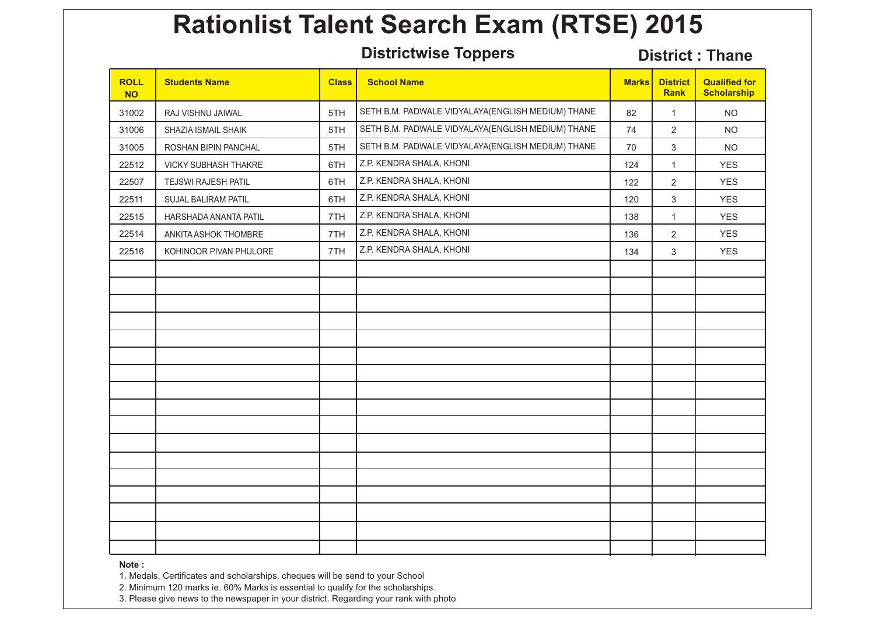**Districtwise Toppers District : Thane** 

| <b>ROLL</b><br><b>NO</b> | <b>Students Name</b>       | <b>Class</b> | <b>School Name</b>                                 | <b>Marks</b> | <b>District</b><br><b>Rank</b> | <b>Qualified for</b><br><b>Scholarship</b> |
|--------------------------|----------------------------|--------------|----------------------------------------------------|--------------|--------------------------------|--------------------------------------------|
| 31002                    | RAJ VISHNU JAIWAL          | 5TH          | SETH B.M. PADWALE VIDYALAYA (ENGLISH MEDIUM) THANE | 82           | $\mathbf{1}$                   | <b>NO</b>                                  |
| 31006                    | SHAZIA ISMAIL SHAIK        | 5TH          | SETH B.M. PADWALE VIDYALAYA (ENGLISH MEDIUM) THANE | 74           | $\overline{2}$                 | <b>NO</b>                                  |
| 31005                    | ROSHAN BIPIN PANCHAL       | 5TH          | SETH B.M. PADWALE VIDYALAYA(ENGLISH MEDIUM) THANE  | 70           | 3                              | <b>NO</b>                                  |
| 22512                    | VICKY SUBHASH THAKRE       | 6TH          | Z.P. KENDRA SHALA, KHONI                           | 124          | $\mathbf{1}$                   | <b>YES</b>                                 |
| 22507                    | <b>TEJSWI RAJESH PATIL</b> | 6TH          | Z.P. KENDRA SHALA, KHONI                           | 122          | $\overline{2}$                 | <b>YES</b>                                 |
| 22511                    | SUJAL BALIRAM PATIL        | 6TH          | Z.P. KENDRA SHALA, KHONI                           | 120          | 3                              | <b>YES</b>                                 |
| 22515                    | HARSHADA ANANTA PATIL      | 7TH          | Z.P. KENDRA SHALA, KHONI                           | 138          | $\mathbf{1}$                   | <b>YES</b>                                 |
| 22514                    | ANKITA ASHOK THOMBRE       | 7TH          | Z.P. KENDRA SHALA, KHONI                           | 136          | $\overline{2}$                 | <b>YES</b>                                 |
| 22516                    | KOHINOOR PIVAN PHULORE     | 7TH          | Z.P. KENDRA SHALA, KHONI                           | 134          | 3                              | <b>YES</b>                                 |
|                          |                            |              |                                                    |              |                                |                                            |
|                          |                            |              |                                                    |              |                                |                                            |
|                          |                            |              |                                                    |              |                                |                                            |
|                          |                            |              |                                                    |              |                                |                                            |
|                          |                            |              |                                                    |              |                                |                                            |
|                          |                            |              |                                                    |              |                                |                                            |
|                          |                            |              |                                                    |              |                                |                                            |
|                          |                            |              |                                                    |              |                                |                                            |
|                          |                            |              |                                                    |              |                                |                                            |
|                          |                            |              |                                                    |              |                                |                                            |
|                          |                            |              |                                                    |              |                                |                                            |
|                          |                            |              |                                                    |              |                                |                                            |
|                          |                            |              |                                                    |              |                                |                                            |
|                          |                            |              |                                                    |              |                                |                                            |
|                          |                            |              |                                                    |              |                                |                                            |
|                          |                            |              |                                                    |              |                                |                                            |
|                          |                            |              |                                                    |              |                                |                                            |

**Note :** 

1. Medals, Certificates and scholarships, cheques will be send to your School

2. Minimum 120 marks ie. 60% Marks is essential to qualify for the scholarships.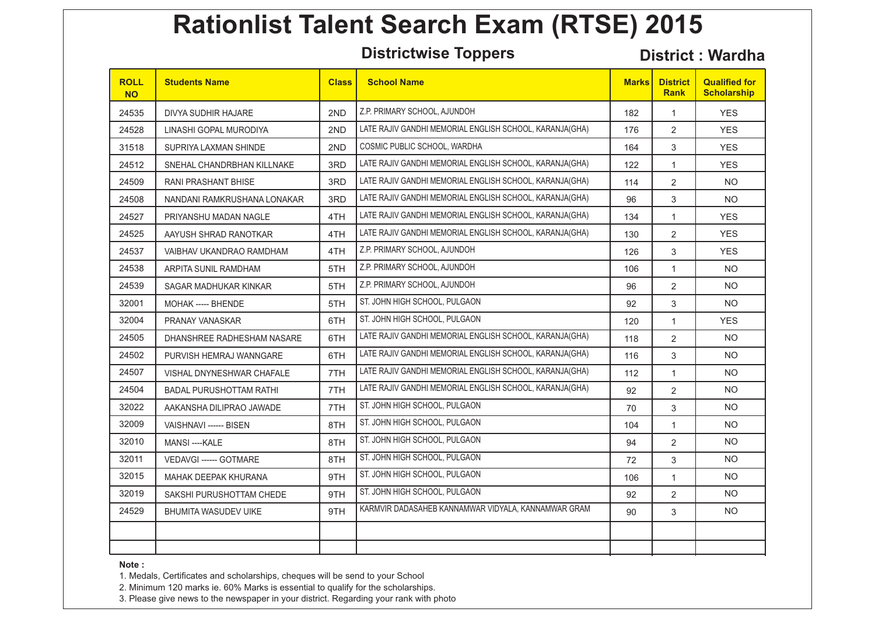**Districtwise Toppers District : Wardha** 

| <b>ROLL</b><br><b>NO</b> | <b>Students Name</b>           | <b>Class</b> | <b>School Name</b>                                      | <b>Marks</b> | <b>District</b><br><b>Rank</b> | <b>Qualified for</b><br><b>Scholarship</b> |
|--------------------------|--------------------------------|--------------|---------------------------------------------------------|--------------|--------------------------------|--------------------------------------------|
| 24535                    | DIVYA SUDHIR HAJARE            | 2ND          | Z.P. PRIMARY SCHOOL, AJUNDOH                            | 182          | $\mathbf{1}$                   | <b>YES</b>                                 |
| 24528                    | LINASHI GOPAL MURODIYA         | 2ND          | LATE RAJIV GANDHI MEMORIAL ENGLISH SCHOOL, KARANJA(GHA) | 176          | $\overline{2}$                 | <b>YES</b>                                 |
| 31518                    | SUPRIYA LAXMAN SHINDE          | 2ND          | COSMIC PUBLIC SCHOOL, WARDHA                            | 164          | 3                              | <b>YES</b>                                 |
| 24512                    | SNEHAL CHANDRBHAN KILLNAKE     | 3RD          | LATE RAJIV GANDHI MEMORIAL ENGLISH SCHOOL, KARANJA(GHA) | 122          | $\mathbf{1}$                   | <b>YES</b>                                 |
| 24509                    | <b>RANI PRASHANT BHISE</b>     | 3RD          | LATE RAJIV GANDHI MEMORIAL ENGLISH SCHOOL, KARANJA(GHA) | 114          | $\overline{2}$                 | NO.                                        |
| 24508                    | NANDANI RAMKRUSHANA LONAKAR    | 3RD          | LATE RAJIV GANDHI MEMORIAL ENGLISH SCHOOL, KARANJA(GHA) | 96           | 3                              | <b>NO</b>                                  |
| 24527                    | PRIYANSHU MADAN NAGLE          | 4TH          | LATE RAJIV GANDHI MEMORIAL ENGLISH SCHOOL, KARANJA(GHA) | 134          | $\mathbf{1}$                   | <b>YES</b>                                 |
| 24525                    | AAYUSH SHRAD RANOTKAR          | 4TH          | LATE RAJIV GANDHI MEMORIAL ENGLISH SCHOOL, KARANJA(GHA) | 130          | $\overline{2}$                 | <b>YES</b>                                 |
| 24537                    | VAIBHAV UKANDRAO RAMDHAM       | 4TH          | Z.P. PRIMARY SCHOOL, AJUNDOH                            | 126          | 3                              | <b>YES</b>                                 |
| 24538                    | ARPITA SUNIL RAMDHAM           | 5TH          | Z.P. PRIMARY SCHOOL, AJUNDOH                            | 106          | $\mathbf{1}$                   | <b>NO</b>                                  |
| 24539                    | SAGAR MADHUKAR KINKAR          | 5TH          | Z.P. PRIMARY SCHOOL, AJUNDOH                            | 96           | 2                              | <b>NO</b>                                  |
| 32001                    | MOHAK ----- BHENDE             | 5TH          | ST. JOHN HIGH SCHOOL, PULGAON                           | 92           | 3                              | <b>NO</b>                                  |
| 32004                    | PRANAY VANASKAR                | 6TH          | ST. JOHN HIGH SCHOOL, PULGAON                           | 120          | $\mathbf{1}$                   | <b>YES</b>                                 |
| 24505                    | DHANSHREE RADHESHAM NASARE     | 6TH          | LATE RAJIV GANDHI MEMORIAL ENGLISH SCHOOL, KARANJA(GHA) | 118          | 2                              | <b>NO</b>                                  |
| 24502                    | PURVISH HEMRAJ WANNGARE        | 6TH          | LATE RAJIV GANDHI MEMORIAL ENGLISH SCHOOL, KARANJA(GHA) | 116          | 3                              | <b>NO</b>                                  |
| 24507                    | VISHAL DNYNESHWAR CHAFALE      | 7TH          | LATE RAJIV GANDHI MEMORIAL ENGLISH SCHOOL, KARANJA(GHA) | 112          | $\mathbf{1}$                   | <b>NO</b>                                  |
| 24504                    | <b>BADAL PURUSHOTTAM RATHI</b> | 7TH          | LATE RAJIV GANDHI MEMORIAL ENGLISH SCHOOL, KARANJA(GHA) | 92           | $\overline{2}$                 | <b>NO</b>                                  |
| 32022                    | AAKANSHA DILIPRAO JAWADE       | 7TH          | ST. JOHN HIGH SCHOOL, PULGAON                           | 70           | 3                              | <b>NO</b>                                  |
| 32009                    | VAISHNAVI ------ BISEN         | 8TH          | ST. JOHN HIGH SCHOOL, PULGAON                           | 104          | $\mathbf{1}$                   | <b>NO</b>                                  |
| 32010                    | MANSI----KALE                  | 8TH          | ST. JOHN HIGH SCHOOL, PULGAON                           | 94           | $\overline{2}$                 | <b>NO</b>                                  |
| 32011                    | VEDAVGI ------ GOTMARE         | 8TH          | ST. JOHN HIGH SCHOOL, PULGAON                           | 72           | 3                              | NO.                                        |
| 32015                    | MAHAK DEEPAK KHURANA           | 9TH          | ST. JOHN HIGH SCHOOL, PULGAON                           | 106          | $\mathbf{1}$                   | <b>NO</b>                                  |
| 32019                    | SAKSHI PURUSHOTTAM CHEDE       | 9TH          | ST. JOHN HIGH SCHOOL, PULGAON                           | 92           | $\overline{2}$                 | <b>NO</b>                                  |
| 24529                    | <b>BHUMITA WASUDEV UIKE</b>    | 9TH          | KARMVIR DADASAHEB KANNAMWAR VIDYALA, KANNAMWAR GRAM     | 90           | 3                              | <b>NO</b>                                  |
|                          |                                |              |                                                         |              |                                |                                            |
|                          |                                |              |                                                         |              |                                |                                            |

**Note :** 

1. Medals, Certificates and scholarships, cheques will be send to your School

2. Minimum 120 marks ie. 60% Marks is essential to qualify for the scholarships.